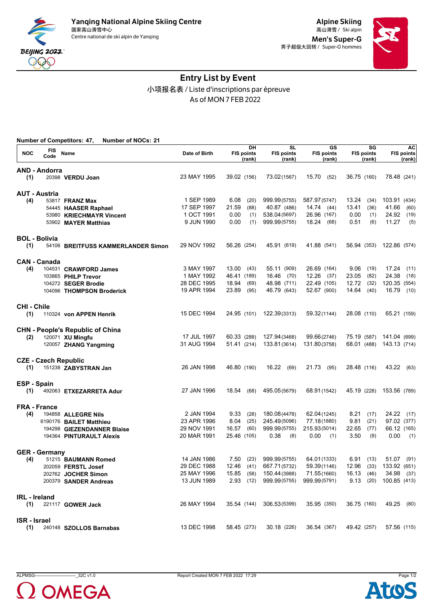

Men's Super-G 男子超级大回转 / Super-G hommes



## Entry List by Event 小项报名表 / Liste d'inscriptions par épreuve As of MON 7 FEB 2022

|                      |                             | <b>Number of Competitors: 47,</b><br><b>Number of NOCs: 21</b> |                            |                                   |                                          |                                   |                                   |                                   |
|----------------------|-----------------------------|----------------------------------------------------------------|----------------------------|-----------------------------------|------------------------------------------|-----------------------------------|-----------------------------------|-----------------------------------|
| <b>NOC</b>           | FIS<br>Code                 | Name                                                           | Date of Birth              | DH<br><b>FIS points</b><br>(rank) | <b>SL</b><br><b>FIS points</b><br>(rank) | GS<br><b>FIS points</b><br>(rank) | SG<br><b>FIS points</b><br>(rank) | AC<br><b>FIS points</b><br>(rank) |
|                      | <b>AND - Andorra</b>        |                                                                |                            |                                   |                                          |                                   |                                   |                                   |
| (1)                  |                             | 20398 VERDU Joan                                               | 23 MAY 1995                | 39.02 (156)                       | 73.02(1567)                              | 15.70<br>(52)                     | 36.75 (160)                       | 78.48 (241)                       |
|                      | <b>AUT - Austria</b>        |                                                                |                            |                                   |                                          |                                   |                                   |                                   |
| (4)                  |                             | 53817 <b>FRANZ Max</b>                                         | 1 SEP 1989                 | 6.08<br>(20)                      | 999.99(5755)                             | 587.97(5747)                      | 13.24<br>(34)                     | 103.91 (434)                      |
|                      |                             | 54445 HAASER Raphael                                           | 17 SEP 1997                | 21.59<br>(88)                     | 40.87 (486)                              | 14.74(44)                         | 13.41<br>(36)                     | 41.66<br>(60)                     |
|                      |                             | 53980 KRIECHMAYR Vincent                                       | 1 OCT 1991                 | 0.00<br>(1)                       | 538.04 (5697)                            | 26.96 (167)                       | 0.00<br>(1)                       | 24.92<br>(19)                     |
|                      |                             | 53902 MAYER Matthias                                           | 9 JUN 1990                 | 0.00<br>(1)                       | 999.99(5755)                             | 18.24 (68)                        | 0.51<br>(6)                       | 11.27<br>(5)                      |
|                      | <b>BOL - Bolivia</b>        |                                                                |                            |                                   |                                          |                                   |                                   |                                   |
| (1)                  |                             | 54106 BREITFUSS KAMMERLANDER Simon                             | 29 NOV 1992                | 56.26 (254)                       | 45.91 (619)                              | 41.88 (541)                       | 56.94 (353)                       | 122.86 (574)                      |
|                      | <b>CAN - Canada</b>         |                                                                |                            |                                   |                                          |                                   |                                   |                                   |
| (4)                  |                             | 104531 CRAWFORD James                                          | 3 MAY 1997                 | 13.00<br>(43)                     | 55.11 (909)                              | 26.69 (164)                       | 9.06<br>(19)                      | 17.24<br>(11)                     |
|                      |                             | 103865 PHILP Trevor                                            | 1 MAY 1992                 | 46.41 (189)                       | 16.46 (70)                               | $12.26$ (37)                      | 23.05<br>(82)                     | 24.38<br>(18)                     |
|                      |                             | 104272 SEGER Brodie                                            | 28 DEC 1995<br>19 APR 1994 | 18.94<br>(69)<br>23.89<br>(95)    | 48.98 (711)<br>46.79 (643)               | 22.49 (105)<br>52.67 (900)        | 12.72<br>(32)<br>14.64<br>(40)    | 120.35 (554)<br>16.79<br>(10)     |
|                      |                             | 104096 THOMPSON Broderick                                      |                            |                                   |                                          |                                   |                                   |                                   |
| <b>CHI - Chile</b>   |                             |                                                                |                            |                                   |                                          |                                   |                                   |                                   |
| (1)                  |                             | 110324 von APPEN Henrik                                        | 15 DEC 1994                | 24.95 (101)                       | 122.39(3313)                             | 59.32(1144)                       | 28.08 (110)                       | 65.21 (159)                       |
|                      |                             | <b>CHN - People's Republic of China</b>                        |                            |                                   |                                          |                                   |                                   |                                   |
| (2)                  |                             | 120071 XU Mingfu                                               | 17 JUL 1997                | 60.33 (288)                       | 127.94(3468)                             | 99.66(2746)                       | 75.19 (587)                       | 141.04 (699)                      |
|                      |                             | 120057 ZHANG Yangming                                          | 31 AUG 1994                | 51.41 (214)                       | 133.81(3614)                             | 131.80(3758)                      | 68.01 (488)                       | 143.13 (714)                      |
|                      | <b>CZE - Czech Republic</b> |                                                                |                            |                                   |                                          |                                   |                                   |                                   |
| (1)                  |                             | 151238 ZABYSTRAN Jan                                           | 26 JAN 1998                | 46.80 (190)                       | 16.22<br>(69)                            | 21.73<br>(95)                     | 28.48 (116)                       | 43.22<br>(63)                     |
| <b>ESP - Spain</b>   |                             |                                                                |                            |                                   |                                          |                                   |                                   |                                   |
| (1)                  |                             | 492063 ETXEZARRETA Adur                                        | 27 JAN 1996                | 18.54<br>(68)                     | 495.05(5679)                             | 68.91(1542)                       | 45.19 (228)                       | 153.56 (789)                      |
|                      | <b>FRA - France</b>         |                                                                |                            |                                   |                                          |                                   |                                   |                                   |
| (4)                  |                             | 194858 ALLEGRE Nils                                            | 2 JAN 1994                 | 9.33<br>(28)                      | 180.08(4478)                             | 62.04(1245)                       | 8.21<br>(17)                      | 24.22<br>(17)                     |
|                      |                             | 6190176 BAILET Matthieu                                        | 23 APR 1996                | 8.04<br>(25)                      | 245.49(5096)                             | 77.18(1880)                       | 9.81<br>(21)                      | 97.02 (377)                       |
|                      |                             | 194298 GIEZENDANNER Blaise                                     | 29 NOV 1991                | (60)<br>16.57                     | 999.99(5755)                             | 215.93(5014)                      | 22.65<br>(77)                     | 66.12 (165)                       |
|                      |                             | 194364 PINTURAULT Alexis                                       | 20 MAR 1991                | 25.46 (105)                       | 0.38<br>(8)                              | 0.00<br>(1)                       | 3.50<br>(9)                       | 0.00<br>(1)                       |
|                      | <b>GER</b> - Germany        |                                                                |                            |                                   |                                          |                                   |                                   |                                   |
| (4)                  |                             | 51215 BAUMANN Romed                                            | 14 JAN 1986                | 7.50<br>(23)                      | 999.99(5755)                             | 64.01(1333)                       | 6.91<br>(13)                      | 51.07 (91)                        |
|                      |                             | 202059 FERSTL Josef                                            | 29 DEC 1988                | 12.46 (41)                        | 667.71(5732)                             | 59.39(1146)                       | 12.96 (33)                        | 133.92 (651)                      |
|                      |                             | 202762 JOCHER Simon                                            | 25 MAY 1996                | 15.85 (58)                        | 150.44(3988)                             | 71.55(1660)                       | 16.13 (46)                        | 34.98 (37)                        |
|                      |                             | 200379 SANDER Andreas                                          | 13 JUN 1989                | $2.93$ (12)                       | 999.99(5755)                             | 999.99(5791)                      | 9.13(20)                          | 100.85 (413)                      |
| <b>IRL</b> - Ireland |                             |                                                                |                            |                                   |                                          |                                   |                                   |                                   |
| (1)                  |                             | 221117 GOWER Jack                                              | 26 MAY 1994                |                                   | 35.54 (144) 306.53(5399)                 | 35.95 (350)                       | 36.75 (160)                       | 49.25 (80)                        |
| <b>ISR</b> - Israel  |                             |                                                                |                            |                                   |                                          |                                   |                                   |                                   |
| (1)                  |                             | 240148 SZOLLOS Barnabas                                        | 13 DEC 1998                | 58.45 (273)                       | 30.18 (226)                              | 36.54 (367)                       | 49.42 (257)                       | 57.56 (115)                       |



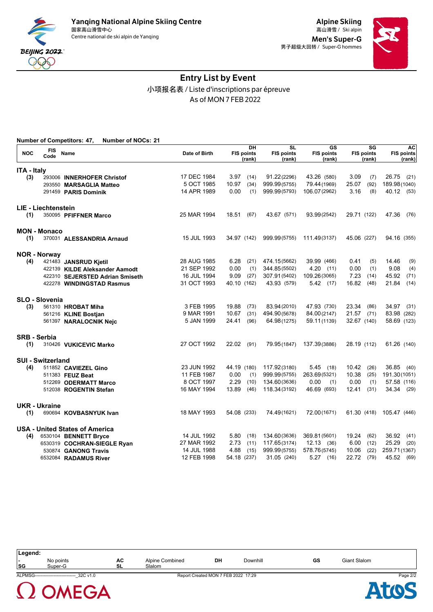



## Entry List by Event 小项报名表 / Liste d'inscriptions par épreuve As of MON 7 FEB 2022

| <b>NOC</b>          | FIS<br>Code              | Name                                  | Date of Birth |             | DH<br><b>FIS points</b><br>(rank) | $\overline{\text{SL}}$<br><b>FIS points</b><br>(rank) | $\overline{\text{GS}}$<br><b>FIS points</b><br>(rank) |             | $\overline{\textsf{s}}$ <b>G</b><br><b>FIS points</b><br>(rank) |                          | <b>AC</b><br><b>FIS points</b><br>(rank) |
|---------------------|--------------------------|---------------------------------------|---------------|-------------|-----------------------------------|-------------------------------------------------------|-------------------------------------------------------|-------------|-----------------------------------------------------------------|--------------------------|------------------------------------------|
| <b>ITA - Italy</b>  |                          |                                       |               |             |                                   |                                                       |                                                       |             |                                                                 |                          |                                          |
| (3)                 |                          | 293006 INNERHOFER Christof            | 17 DEC 1984   | 3.97        | (14)                              | 91.22(2296)                                           | 43.26 (580)                                           | 3.09        | (7)                                                             | 26.75                    | (21)                                     |
|                     |                          | 293550 MARSAGLIA Matteo               | 5 OCT 1985    | 10.97       | (34)                              | 999.99(5755)                                          | 79.44 (1969)                                          | 25.07       | (92)                                                            | 189.98(1040)             |                                          |
|                     |                          | 291459 PARIS Dominik                  | 14 APR 1989   | 0.00        | (1)                               | 999.99(5793)                                          | 106.07(2962)                                          | 3.16        | (8)                                                             | 40.12 (53)               |                                          |
|                     | LIE - Liechtenstein      |                                       |               |             |                                   |                                                       |                                                       |             |                                                                 |                          |                                          |
| (1)                 |                          | 350095 PFIFFNER Marco                 | 25 MAR 1994   | 18.51       | (67)                              | 43.67 (571)                                           | 93.99(2542)                                           | 29.71 (122) |                                                                 | 47.36                    | (76)                                     |
|                     | <b>MON - Monaco</b>      |                                       |               |             |                                   |                                                       |                                                       |             |                                                                 |                          |                                          |
| (1)                 |                          | 370031 ALESSANDRIA Arnaud             | 15 JUL 1993   | 34.97 (142) |                                   | 999.99(5755)                                          | 111.49(3137)                                          | 45.06 (227) |                                                                 | 94.16 (355)              |                                          |
|                     | <b>NOR - Norway</b>      |                                       |               |             |                                   |                                                       |                                                       |             |                                                                 |                          |                                          |
| (4)                 |                          | 421483 JANSRUD Kjetil                 | 28 AUG 1985   | 6.28        | (21)                              | 474.15(5662)                                          | 39.99 (466)                                           | 0.41        | (5)                                                             | 14.46                    | (9)                                      |
|                     |                          | 422139 KILDE Aleksander Aamodt        | 21 SEP 1992   | 0.00        | (1)                               | 344.85(5502)                                          | 4.20 (11)                                             | 0.00        | (1)                                                             | 9.08                     | (4)                                      |
|                     |                          | 422310 SEJERSTED Adrian Smiseth       | 16 JUL 1994   | 9.09        | (27)                              | 307.91(5402)                                          | 109.26(3065)                                          | 7.23        | (14)                                                            | 45.92                    | (71)                                     |
|                     |                          | 422278 WINDINGSTAD Rasmus             | 31 OCT 1993   | 40.10 (162) |                                   | 43.93 (579)                                           | $5.42$ (17)                                           | 16.82       | (48)                                                            | 21.84                    | (14)                                     |
|                     | SLO - Slovenia           |                                       |               |             |                                   |                                                       |                                                       |             |                                                                 |                          |                                          |
| (3)                 |                          | 561310 HROBAT Miha                    | 3 FEB 1995    | 19.88       | (73)                              | 83.94(2010)                                           | 47.93 (730)                                           | 23.34       | (86)                                                            | 34.97                    | (31)                                     |
|                     |                          | 561216 KLINE Bostjan                  | 9 MAR 1991    | 10.67       | (31)                              | 494.90(5678)                                          | 84.00(2147)                                           | 21.57       | (71)                                                            | 83.98 (282)              |                                          |
|                     |                          | 561397 NARALOCNIK Nejc                | 5 JAN 1999    | 24.41       | (96)                              | 64.98(1275)                                           | 59.11(1139)                                           | 32.67 (140) |                                                                 | 58.69 (123)              |                                          |
| <b>SRB - Serbia</b> |                          |                                       |               |             |                                   |                                                       |                                                       |             |                                                                 |                          |                                          |
| (1)                 |                          | 310426 VUKICEVIC Marko                | 27 OCT 1992   | 22.02       | (91)                              | 79.95(1847)                                           | 137.39(3886)                                          | 28.19 (112) |                                                                 | 61.26 (140)              |                                          |
|                     | <b>SUI - Switzerland</b> |                                       |               |             |                                   |                                                       |                                                       |             |                                                                 |                          |                                          |
| (4)                 |                          | 511852 CAVIEZEL Gino                  | 23 JUN 1992   | 44.19 (180) |                                   | 117.92(3180)                                          | $5.45$ (18)                                           | 10.42       | (26)                                                            | 36.85                    | (40)                                     |
|                     |                          | 511383 FEUZ Beat                      | 11 FEB 1987   | 0.00        | (1)                               | 999.99(5755)                                          | 263.69(5321)                                          | 10.38       | (25)                                                            | 191.30(1051)             |                                          |
|                     |                          | 512269 ODERMATT Marco                 | 8 OCT 1997    | 2.29        | (10)                              | 134.60(3636)                                          | 0.00<br>(1)                                           | 0.00        | (1)                                                             | 57.58 (116)              |                                          |
|                     |                          | 512038 ROGENTIN Stefan                | 16 MAY 1994   | 13.89       | (46)                              | 118.34(3192)                                          | 46.69 (693)                                           | 12.41       | (31)                                                            | 34.34 (29)               |                                          |
|                     | UKR - Ukraine            |                                       |               |             |                                   |                                                       |                                                       |             |                                                                 |                          |                                          |
| (1)                 |                          | 690694 KOVBASNYUK Ivan                | 18 MAY 1993   | 54.08 (233) |                                   | 74.49(1621)                                           | 72.00(1671)                                           |             |                                                                 | 61.30 (418) 105.47 (446) |                                          |
|                     |                          | <b>USA - United States of America</b> |               |             |                                   |                                                       |                                                       |             |                                                                 |                          |                                          |
| (4)                 |                          | 6530104 BENNETT Bryce                 | 14 JUL 1992   | 5.80        | (18)                              | 134.60(3636)                                          | 369.81 (5601)                                         | 19.24       | (62)                                                            | 36.92                    | (41)                                     |
|                     |                          | 6530319 COCHRAN-SIEGLE Ryan           | 27 MAR 1992   | 2.73        | (11)                              | 117.65(3174)                                          | 12.13(36)                                             | 6.00        | (12)                                                            | 25.29                    | (20)                                     |
|                     |                          | 530874 GANONG Travis                  | 14 JUL 1988   | 4.88        | (15)                              | 999.99(5755)                                          | 578.76(5745)                                          | 10.06       | (22)                                                            | 259.71 (1367)            |                                          |
|                     |                          | 6532084 RADAMUS River                 | 12 FEB 1998   | 54.18 (237) |                                   | 31.05 (240)                                           | 5.27<br>(16)                                          | 22.72       | (79)                                                            | 45.52 (69)               |                                          |

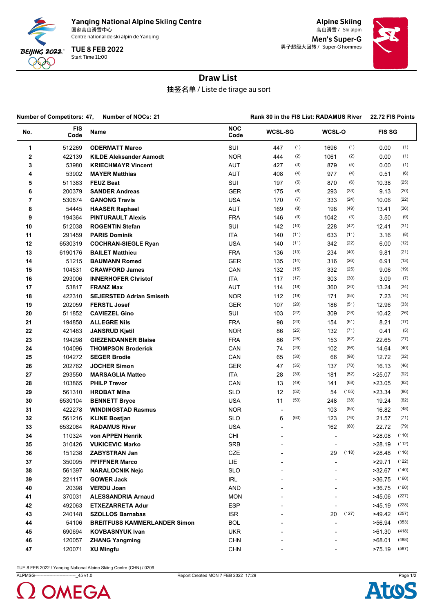

Yanqing National Alpine Skiing Centre<br><sub>国家高山滑雪中心</sub> 国家高山滑雪中心 Ski alpin 高山滑雪 /

Centre national de ski alpin de Yanqing

Start Time 11:00 TUE 8 FEB 2022

Alpine Skiing Men's Super-G 男子超级大回转 / Super-G hommes



## Draw List

抽签名单 / Liste de tirage au sort

| <b>Number of Competitors: 47,</b><br><b>Number of NOCs: 21</b> |                    |                                     |                    | Rank 80 in the FIS List: RADAMUS River |      |        |       |               | 22.72 FIS Points |
|----------------------------------------------------------------|--------------------|-------------------------------------|--------------------|----------------------------------------|------|--------|-------|---------------|------------------|
| No.                                                            | <b>FIS</b><br>Code | <b>Name</b>                         | <b>NOC</b><br>Code | <b>WCSL-SG</b>                         |      | WCSL-O |       | <b>FIS SG</b> |                  |
| 1                                                              | 512269             | <b>ODERMATT Marco</b>               | SUI                | 447                                    | (1)  | 1696   | (1)   | 0.00          | (1)              |
| 2                                                              | 422139             | <b>KILDE Aleksander Aamodt</b>      | <b>NOR</b>         | 444                                    | (2)  | 1061   | (2)   | 0.00          | (1)              |
| 3                                                              | 53980              | <b>KRIECHMAYR Vincent</b>           | AUT                | 427                                    | (3)  | 879    | (5)   | 0.00          | (1)              |
| 4                                                              | 53902              | <b>MAYER Matthias</b>               | AUT                | 408                                    | (4)  | 977    | (4)   | 0.51          | (6)              |
| 5                                                              | 511383             | <b>FEUZ Beat</b>                    | SUI                | 197                                    | (5)  | 870    | (6)   | 10.38         | (25)             |
| 6                                                              | 200379             | <b>SANDER Andreas</b>               | <b>GER</b>         | 175                                    | (6)  | 293    | (33)  | 9.13          | (20)             |
| 7                                                              | 530874             | <b>GANONG Travis</b>                | <b>USA</b>         | 170                                    | (7)  | 333    | (24)  | 10.06         | (22)             |
| 8                                                              | 54445              | <b>HAASER Raphael</b>               | AUT                | 169                                    | (8)  | 198    | (49)  | 13.41         | (36)             |
| 9                                                              | 194364             | <b>PINTURAULT Alexis</b>            | <b>FRA</b>         | 146                                    | (9)  | 1042   | (3)   | 3.50          | (9)              |
| 10                                                             | 512038             | <b>ROGENTIN Stefan</b>              | SUI                | 142                                    | (10) | 228    | (42)  | 12.41         | (31)             |
| 11                                                             | 291459             | <b>PARIS Dominik</b>                | <b>ITA</b>         | 140                                    | (11) | 633    | (11)  | 3.16          | (8)              |
| 12                                                             | 6530319            | <b>COCHRAN-SIEGLE Ryan</b>          | <b>USA</b>         | 140                                    | (11) | 342    | (22)  | 6.00          | (12)             |
| 13                                                             | 6190176            | <b>BAILET Matthieu</b>              | <b>FRA</b>         | 136                                    | (13) | 234    | (40)  | 9.81          | (21)             |
| 14                                                             | 51215              | <b>BAUMANN Romed</b>                | <b>GER</b>         | 135                                    | (14) | 316    | (26)  | 6.91          | (13)             |
| 15                                                             | 104531             | <b>CRAWFORD James</b>               | CAN                | 132                                    | (15) | 332    | (25)  | 9.06          | (19)             |
| 16                                                             | 293006             | <b>INNERHOFER Christof</b>          | <b>ITA</b>         | 117                                    | (17) | 303    | (30)  | 3.09          | (7)              |
| 17                                                             | 53817              | <b>FRANZ Max</b>                    | AUT                | 114                                    | (18) | 360    | (20)  | 13.24         | (34)             |
| 18                                                             | 422310             | <b>SEJERSTED Adrian Smiseth</b>     | <b>NOR</b>         | 112                                    | (19) | 171    | (55)  | 7.23          | (14)             |
| 19                                                             | 202059             | <b>FERSTL Josef</b>                 | <b>GER</b>         | 107                                    | (20) | 186    | (51)  | 12.96         | (33)             |
| 20                                                             | 511852             | <b>CAVIEZEL Gino</b>                | SUI                | 103                                    | (22) | 309    | (28)  | 10.42         | (26)             |
| 21                                                             | 194858             | <b>ALLEGRE Nils</b>                 | <b>FRA</b>         | 98                                     | (23) | 154    | (61)  | 8.21          | (17)             |
| 22                                                             | 421483             | <b>JANSRUD Kjetil</b>               | <b>NOR</b>         | 86                                     | (25) | 132    | (71)  | 0.41          | (5)              |
| 23                                                             | 194298             | <b>GIEZENDANNER Blaise</b>          | <b>FRA</b>         | 86                                     | (25) | 153    | (62)  | 22.65         | (77)             |
| 24                                                             | 104096             | <b>THOMPSON Broderick</b>           | CAN                | 74                                     | (29) | 102    | (86)  | 14.64         | (40)             |
| 25                                                             | 104272             | <b>SEGER Brodie</b>                 | CAN                | 65                                     | (30) | 66     | (98)  | 12.72         | (32)             |
| 26                                                             | 202762             | <b>JOCHER Simon</b>                 | <b>GER</b>         | 47                                     | (35) | 137    | (70)  | 16.13         | (46)             |
| 27                                                             | 293550             | <b>MARSAGLIA Matteo</b>             | <b>ITA</b>         | 28                                     | (39) | 181    | (52)  | >25.07        | (92)             |
| 28                                                             | 103865             | <b>PHILP Trevor</b>                 | CAN                | 13                                     | (49) | 141    | (68)  | >23.05        | (82)             |
| 29                                                             | 561310             | <b>HROBAT Miha</b>                  | <b>SLO</b>         | 12                                     | (52) | 54     | (105) | >23.34        | (86)             |
| 30                                                             | 6530104            | <b>BENNETT Bryce</b>                | <b>USA</b>         | 11                                     | (53) | 248    | (38)  | 19.24         | (62)             |
| 31                                                             | 422278             | <b>WINDINGSTAD Rasmus</b>           | NOR.               | $\overline{\phantom{a}}$               |      | 103    | (85)  | 16.82         | (48)             |
| 32                                                             | 561216             | <b>KLINE Bostjan</b>                | <b>SLO</b>         | 6                                      | (60) | 123    | (76)  | 21.57         | (71)             |
| 33                                                             | 6532084            | <b>RADAMUS River</b>                | <b>USA</b>         |                                        |      | 162    | (60)  | 22.72         | (79)             |
| 34                                                             | 110324             | von APPEN Henrik                    | CHI                |                                        |      |        |       | >28.08        | (110)            |
| 35                                                             | 310426             | <b>VUKICEVIC Marko</b>              | <b>SRB</b>         |                                        |      |        |       | >28.19        | (112)            |
| 36                                                             | 151238             | <b>ZABYSTRAN Jan</b>                | CZE                |                                        |      | 29     | (118) | >28.48        | (116)            |
| 37                                                             | 350095             | <b>PFIFFNER Marco</b>               | LIE                |                                        |      |        |       | >29.71        | (122)            |
| 38                                                             | 561397             | <b>NARALOCNIK Nejc</b>              | <b>SLO</b>         |                                        |      |        |       | >32.67        | (140)            |
| 39                                                             | 221117             | <b>GOWER Jack</b>                   | IRL                |                                        |      |        |       | >36.75        | (160)            |
| 40                                                             | 20398              | <b>VERDU Joan</b>                   | AND                |                                        |      |        |       | >36.75        | (160)            |
| 41                                                             | 370031             | <b>ALESSANDRIA Arnaud</b>           | <b>MON</b>         |                                        |      |        |       | >45.06        | (227)            |
| 42                                                             | 492063             | <b>ETXEZARRETA Adur</b>             | <b>ESP</b>         |                                        |      |        |       | >45.19        | (228)            |
| 43                                                             | 240148             | <b>SZOLLOS Barnabas</b>             | <b>ISR</b>         |                                        |      | 20     | (127) | >49.42        | (257)            |
| 44                                                             | 54106              | <b>BREITFUSS KAMMERLANDER Simon</b> | <b>BOL</b>         |                                        |      |        |       | >56.94        | (353)            |
| 45                                                             | 690694             | <b>KOVBASNYUK Ivan</b>              | <b>UKR</b>         |                                        |      |        |       | >61.30        | (418)            |
|                                                                |                    |                                     |                    |                                        |      |        |       |               | (488)            |
| 46                                                             | 120057             | <b>ZHANG Yangming</b>               | <b>CHN</b>         |                                        |      |        |       | >68.01        |                  |
| 47                                                             | 120071             | <b>XU Mingfu</b>                    | <b>CHN</b>         |                                        |      |        |       | >75.19        | (587)            |



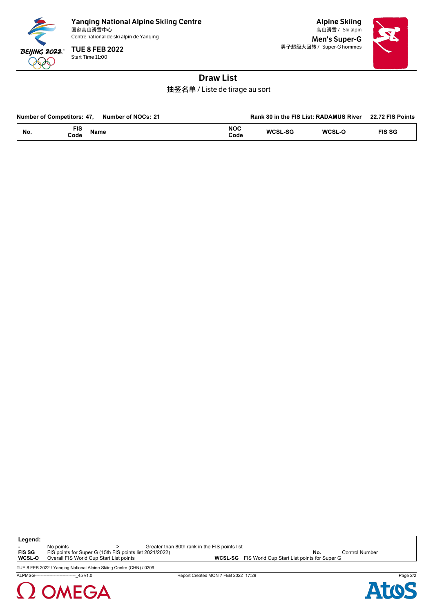

Start Time 11:00 TUE 8 FEB 2022

Alpine Skiing Men's Super-G 男子超级大回转 / Super-G hommes



## Draw List

抽签名单 / Liste de tirage au sort

| <b>Number of Competitors: 47.</b> | Number of NOCs: 21 |                    |                | Rank 80 in the FIS List: RADAMUS River | 22.72 FIS Points |
|-----------------------------------|--------------------|--------------------|----------------|----------------------------------------|------------------|
| FIS<br>No.<br>Code                | <b>Name</b>        | <b>NOC</b><br>Code | <b>WCSL-SG</b> | WCSL-O                                 | <b>FIS SG</b>    |

**Legend:**

**-** No points **being the Sect** of the Seater than 80th rank in the FIS points list<br>**FIS SG** FIS points for Super G (15th FIS points list 2021/2022)

**FIS SG** FIS points for Super G (15th FIS points list 2021/2022)<br>
WAREL-SC FIS World Cup Start List points for Super G<br> **WAREL-SC** FIS World Cup Start List points for Super G<br> **WAREL-SC** FIS World Cup Start List points for

TUE 8 FEB 2022 / Yanqing National Alpine Skiing Centre (CHN) / 0209

ALPMSG----------------------------\_45 v1.0 Report Created MON 7 FEB 2022 17:29 Page 2/2



WCSL-SG FIS World Cup Start List points for Super G

Ato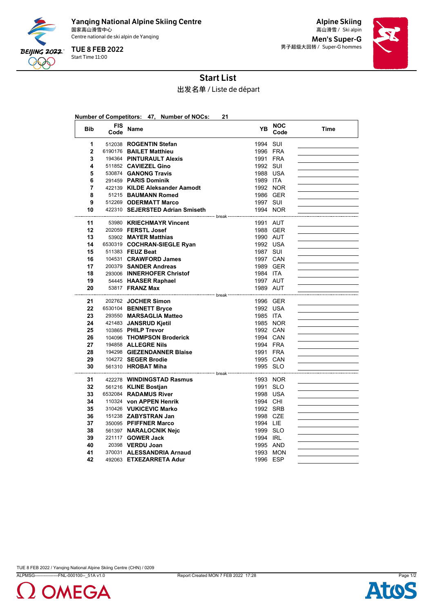

Start Time 11:00 TUE 8 FEB 2022

Alpine Skiing Men's Super-G 男子超级大回转 / Super-G hommes



# Start List

出发名单 / Liste de départ

|              |                    | Number of Competitors: 47, Number of NOCs:       | 21                                              |                    |      |
|--------------|--------------------|--------------------------------------------------|-------------------------------------------------|--------------------|------|
| <b>Bib</b>   | <b>FIS</b><br>Code | Name                                             | YB                                              | <b>NOC</b><br>Code | Time |
| 1            |                    | 512038 ROGENTIN Stefan                           | 1994 SUI                                        |                    |      |
| $\mathbf{2}$ |                    | 6190176 BAILET Matthieu                          | 1996 FRA                                        |                    |      |
| 3            |                    | 194364 PINTURAULT Alexis                         | 1991 FRA                                        |                    |      |
| 4            |                    | 511852 CAVIEZEL Gino                             | 1992 SUI                                        |                    |      |
| 5            |                    | 530874 GANONG Travis                             | 1988 USA                                        |                    |      |
| 6            |                    | 291459 PARIS Dominik                             | 1989 ITA                                        |                    |      |
| 7            |                    | 422139 KILDE Aleksander Aamodt                   | 1992 NOR                                        |                    |      |
| 8            |                    | 51215 BAUMANN Romed                              | 1986 GER                                        |                    |      |
| 9            |                    | 512269 ODERMATT Marco                            | 1997 SUI                                        |                    |      |
| 10           |                    | 422310 SEJERSTED Adrian Smiseth                  |                                                 | 1994 NOR           |      |
| 11           |                    | 53980 KRIECHMAYR Vincent                         | 1991 AUT                                        |                    |      |
| 12           |                    | 202059 FERSTL Josef                              | 1988 GER                                        |                    |      |
| 13           |                    | 53902 MAYER Matthias                             | 1990 AUT                                        |                    |      |
| 14           |                    | 6530319 COCHRAN-SIEGLE Ryan                      | 1992 USA                                        |                    |      |
| 15           |                    | 511383 FEUZ Beat                                 | 1987 SUI                                        |                    |      |
| 16           |                    | 104531 CRAWFORD James                            | 1997 CAN                                        |                    |      |
| 17           |                    | 200379 SANDER Andreas                            | 1989 GER                                        |                    |      |
| 18           |                    | 293006 INNERHOFER Christof                       | 1984 ITA                                        |                    |      |
| 19           |                    | 54445 HAASER Raphael                             | 1997 AUT                                        |                    |      |
| 20           |                    | 53817 <b>FRANZ Max</b>                           | 1989 AUT                                        |                    |      |
|              |                    |                                                  | --------------------<br>---- break <sup>.</sup> |                    |      |
| 21<br>22     |                    | 202762 JOCHER Simon                              | 1996 GER<br>1992 USA                            |                    |      |
| 23           |                    | 6530104 BENNETT Bryce                            |                                                 |                    |      |
| 24           |                    | 293550 MARSAGLIA Matteo<br>421483 JANSRUD Kjetil | 1985 ITA<br>1985 NOR                            |                    |      |
| 25           |                    | 103865 PHILP Trevor                              | 1992 CAN                                        |                    |      |
| 26           |                    | 104096 THOMPSON Broderick                        | 1994 CAN                                        |                    |      |
| 27           |                    | 194858 ALLEGRE Nils                              | 1994 FRA                                        |                    |      |
| 28           |                    | 194298 GIEZENDANNER Blaise                       | 1991 FRA                                        |                    |      |
| 29           |                    | 104272 SEGER Brodie                              | 1995 CAN                                        |                    |      |
| 30           |                    | 561310 HROBAT Miha                               | 1995 SLO                                        |                    |      |
|              |                    | break ---                                        |                                                 |                    |      |
| 31           |                    | 422278 WINDINGSTAD Rasmus                        | 1993 NOR                                        |                    |      |
| 32           |                    | 561216 KLINE Bostjan                             | 1991 SLO                                        |                    |      |
| 33           |                    | 6532084 RADAMUS River                            | 1998 USA                                        |                    |      |
| 34           |                    | 110324 von APPEN Henrik                          | 1994 CHI                                        |                    |      |
| 35           |                    | 310426 VUKICEVIC Marko                           | 1992 SRB                                        |                    |      |
| 36           |                    | 151238 ZABYSTRAN Jan                             | 1998 CZE                                        |                    |      |
| 37           |                    | 350095 PFIFFNER Marco                            | 1994 LIE                                        |                    |      |
| 38           |                    | 561397 NARALOCNIK Nejc                           | 1999 SLO                                        |                    |      |
| 39           |                    | 221117 <b>GOWER Jack</b>                         | 1994 IRL                                        |                    |      |
| 40           |                    | 20398 VERDU Joan                                 | 1995 AND                                        |                    |      |
| 41           |                    | 370031 ALESSANDRIA Arnaud                        |                                                 | 1993 MON           |      |
| 42           |                    | 492063 ETXEZARRETA Adur                          | 1996 ESP                                        |                    |      |



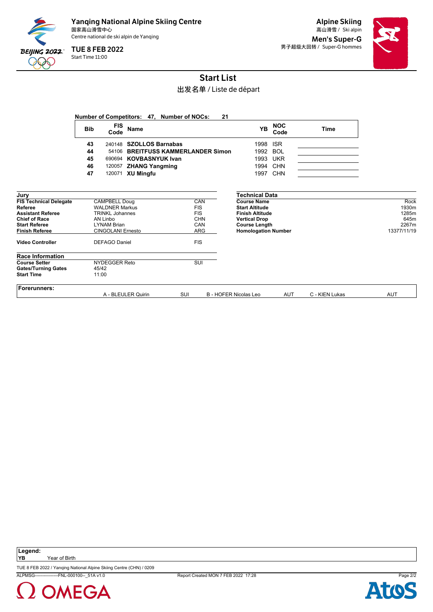

Start Time 11:00 TUE 8 FEB 2022

Alpine Skiing Men's Super-G 男子超级大回转 / Super-G hommes



# Start List

#### 出发名单 / Liste de départ

|                                                                                                                                                                                  |            |                                                                                                                                                               |                         | Number of Competitors: 47, Number of NOCs: |                                                                                  | 21 |                                                                                                                                                                              |                    |                |                                                        |
|----------------------------------------------------------------------------------------------------------------------------------------------------------------------------------|------------|---------------------------------------------------------------------------------------------------------------------------------------------------------------|-------------------------|--------------------------------------------|----------------------------------------------------------------------------------|----|------------------------------------------------------------------------------------------------------------------------------------------------------------------------------|--------------------|----------------|--------------------------------------------------------|
|                                                                                                                                                                                  | <b>Bib</b> | <b>FIS</b><br>Code                                                                                                                                            | <b>Name</b>             |                                            |                                                                                  |    | <b>YB</b>                                                                                                                                                                    | <b>NOC</b><br>Code | <b>Time</b>    |                                                        |
|                                                                                                                                                                                  | 43         |                                                                                                                                                               | 240148 SZOLLOS Barnabas |                                            |                                                                                  |    | 1998                                                                                                                                                                         | <b>ISR</b>         |                |                                                        |
|                                                                                                                                                                                  | 44         | 54106                                                                                                                                                         |                         | <b>BREITFUSS KAMMERLANDER Simon</b>        |                                                                                  |    | 1992                                                                                                                                                                         | <b>BOL</b>         |                |                                                        |
|                                                                                                                                                                                  | 45         |                                                                                                                                                               | 690694 KOVBASNYUK Ivan  |                                            |                                                                                  |    | 1993                                                                                                                                                                         | <b>UKR</b>         |                |                                                        |
|                                                                                                                                                                                  | 46         | 120057                                                                                                                                                        | <b>ZHANG Yangming</b>   |                                            |                                                                                  |    | 1994                                                                                                                                                                         | <b>CHN</b>         |                |                                                        |
|                                                                                                                                                                                  | 47         | 120071                                                                                                                                                        | <b>XU Mingfu</b>        |                                            |                                                                                  |    | 1997                                                                                                                                                                         | <b>CHN</b>         |                |                                                        |
| Jury<br><b>FIS Technical Delegate</b><br>Referee<br><b>Assistant Referee</b><br><b>Chief of Race</b><br><b>Start Referee</b><br><b>Finish Referee</b><br><b>Video Controller</b> |            | CAMPBELL Doug<br><b>WALDNER Markus</b><br><b>TRINKL Johannes</b><br><b>AN Linbo</b><br><b>LYNAM Brian</b><br><b>CINGOLANI Ernesto</b><br><b>DEFAGO Daniel</b> |                         |                                            | CAN<br><b>FIS</b><br><b>FIS</b><br><b>CHN</b><br>CAN<br><b>ARG</b><br><b>FIS</b> |    | <b>Technical Data</b><br><b>Course Name</b><br><b>Start Altitude</b><br><b>Finish Altitude</b><br><b>Vertical Drop</b><br><b>Course Length</b><br><b>Homologation Number</b> |                    |                | Rock<br>1930m<br>1285m<br>645m<br>2267m<br>13377/11/19 |
|                                                                                                                                                                                  |            |                                                                                                                                                               |                         |                                            |                                                                                  |    |                                                                                                                                                                              |                    |                |                                                        |
| <b>Race Information</b><br><b>Course Setter</b><br><b>Gates/Turning Gates</b><br><b>Start Time</b>                                                                               | 11:00      | <b>NYDEGGER Reto</b><br>45/42                                                                                                                                 |                         |                                            | <b>SUI</b>                                                                       |    |                                                                                                                                                                              |                    |                |                                                        |
| <b>Forerunners:</b>                                                                                                                                                              |            |                                                                                                                                                               | A - BLEULER Quirin      | SUI                                        |                                                                                  |    | <b>B - HOFER Nicolas Leo</b>                                                                                                                                                 | <b>AUT</b>         | C - KIEN Lukas | <b>AUT</b>                                             |



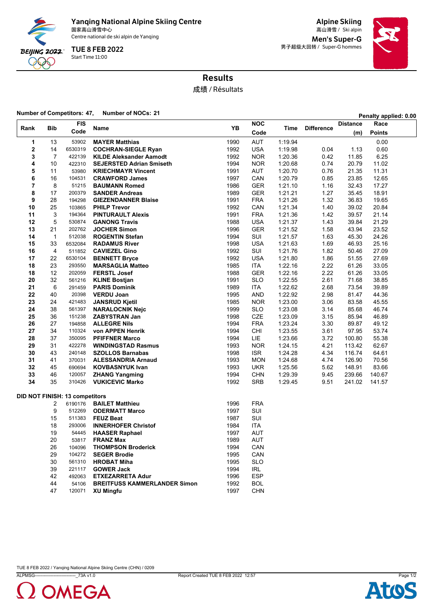

Yanqing National Alpine Skiing Centre<br><sub>国家高山滑雪中心</sub>

Centre national de ski alpin de Yanqing

Start Time 11:00 TUE 8 FEB 2022

Alpine Skiing 国家高山滑雪中心 Ski alpin 高山滑雪 / Men's Super-G 男子超级大回转 / Super-G hommes



## Results

成绩 / Résultats

#### **Number of Competitors: 47, Number of NOCs: <sup>21</sup> Penalty applied: 0.00**

|                |                | <b>FIS</b>                            |                                                 |              | <b>NOC</b>               |                    |                   | <b>Distance</b>  | Race           |
|----------------|----------------|---------------------------------------|-------------------------------------------------|--------------|--------------------------|--------------------|-------------------|------------------|----------------|
| Rank           | Bib            | Code                                  | Name                                            | YB           | Code                     | <b>Time</b>        | <b>Difference</b> | (m)              | <b>Points</b>  |
| 1              | 13             | 53902                                 | <b>MAYER Matthias</b>                           | 1990         | AUT                      | 1:19.94            |                   |                  | 0.00           |
| $\mathbf 2$    | 14             | 6530319                               | <b>COCHRAN-SIEGLE Ryan</b>                      | 1992         | <b>USA</b>               | 1:19.98            | 0.04              | 1.13             | 0.60           |
| 3              | $\overline{7}$ | 422139                                | <b>KILDE Aleksander Aamodt</b>                  | 1992         | <b>NOR</b>               | 1:20.36            | 0.42              | 11.85            | 6.25           |
| 4              | 10             | 422310                                | <b>SEJERSTED Adrian Smiseth</b>                 | 1994         | <b>NOR</b>               | 1:20.68            | 0.74              | 20.79            | 11.02          |
| 5              | 11             | 53980                                 | <b>KRIECHMAYR Vincent</b>                       | 1991         | AUT                      | 1:20.70            | 0.76              | 21.35            | 11.31          |
| 6              | 16             | 104531                                | <b>CRAWFORD James</b>                           | 1997         | CAN                      | 1:20.79            | 0.85              | 23.85            | 12.65          |
| $\overline{7}$ | 8              | 51215                                 | <b>BAUMANN Romed</b>                            | 1986         | <b>GER</b>               | 1:21.10            | 1.16              | 32.43            | 17.27          |
| 8              | 17             | 200379                                | <b>SANDER Andreas</b>                           | 1989         | <b>GER</b>               | 1:21.21            | 1.27              | 35.45            | 18.91          |
| 9              | 28             | 194298                                | <b>GIEZENDANNER Blaise</b>                      | 1991         | <b>FRA</b>               | 1:21.26            | 1.32              | 36.83            | 19.65          |
| 10             | 25             | 103865                                | <b>PHILP Trevor</b>                             | 1992         | CAN                      | 1:21.34            | 1.40              | 39.02            | 20.84          |
| 11             | 3              | 194364                                | <b>PINTURAULT Alexis</b>                        | 1991         | <b>FRA</b>               | 1.21.36            | 1.42              | 39.57            | 21.14          |
| 12             | 5              | 530874                                | <b>GANONG Travis</b>                            | 1988         | <b>USA</b>               | 1:21.37            | 1.43              | 39.84            | 21.29          |
| 13             | 21             | 202762                                | <b>JOCHER Simon</b>                             | 1996         | <b>GER</b>               | 1.21.52            | 1.58              | 43.94            | 23.52          |
| 14             | $\mathbf{1}$   | 512038                                | <b>ROGENTIN Stefan</b>                          | 1994         | SUI                      | 1:21.57            | 1.63              | 45.30            | 24.26          |
| 15             | 33             | 6532084                               | <b>RADAMUS River</b>                            | 1998         | <b>USA</b>               | 1.21.63            | 1.69              | 46.93            | 25.16          |
| 16             | $\overline{4}$ | 511852                                | <b>CAVIEZEL Gino</b>                            | 1992         | SUI                      | 1:21.76            | 1.82              | 50.46            | 27.09          |
| 17             | 22             | 6530104                               | <b>BENNETT Bryce</b>                            | 1992         | <b>USA</b>               | 1:21.80            | 1.86              | 51.55            | 27.69          |
| 18             | 23             | 293550                                | <b>MARSAGLIA Matteo</b>                         | 1985         | <b>ITA</b>               | 1:22.16            | 2.22              | 61.26            | 33.05          |
| 18             | 12             | 202059                                | <b>FERSTL Josef</b>                             | 1988         | <b>GER</b>               | 1:22.16            | 2.22              | 61.26            | 33.05          |
| 20             | 32             | 561216                                | <b>KLINE Bostjan</b>                            | 1991         | <b>SLO</b>               | 1:22.55            | 2.61              | 71.68            | 38.85          |
| 21             | 6              | 291459                                | <b>PARIS Dominik</b>                            | 1989         | ITA                      | 1:22.62            | 2.68              | 73.54            | 39.89          |
| 22             | 40             | 20398                                 | <b>VERDU Joan</b>                               | 1995         | AND                      | 1:22.92            | 2.98              | 81.47            | 44.36          |
| 23             | 24             | 421483                                | <b>JANSRUD Kjetil</b>                           | 1985         | <b>NOR</b>               | 1:23.00            | 3.06              | 83.58            | 45.55          |
| 24             | 38             | 561397                                | <b>NARALOCNIK Nejc</b>                          | 1999         | <b>SLO</b>               | 1:23.08            | 3.14              | 85.68            | 46.74          |
| 25             | 36             | 151238                                | <b>ZABYSTRAN Jan</b>                            | 1998         | CZE                      | 1:23.09            | 3.15              | 85.94            | 46.89          |
| 26             | 27             | 194858                                | <b>ALLEGRE Nils</b>                             | 1994         | <b>FRA</b>               | 1:23.24            | 3.30              | 89.87            | 49.12          |
| 27             | 34             | 110324                                | von APPEN Henrik                                | 1994         | CHI                      | 1:23.55            | 3.61              | 97.95            | 53.74          |
| 28             | 37             | 350095                                | <b>PFIFFNER Marco</b>                           | 1994         | LIE                      | 1:23.66            | 3.72              | 100.80           | 55.38          |
| 29             | 31             | 422278                                | <b>WINDINGSTAD Rasmus</b>                       | 1993         | <b>NOR</b>               | 1:24.15            | 4.21              | 113.42           | 62.67          |
| 30<br>31       | 43<br>41       | 240148                                | <b>SZOLLOS Barnabas</b>                         | 1998<br>1993 | <b>ISR</b>               | 1:24.28<br>1:24.68 | 4.34<br>4.74      | 116.74<br>126.90 | 64.61          |
| 32             | 45             | 370031<br>690694                      | <b>ALESSANDRIA Arnaud</b>                       | 1993         | <b>MON</b><br><b>UKR</b> | 1:25.56            | 5.62              | 148.91           | 70.56<br>83.66 |
| 33             | 46             | 120057                                | <b>KOVBASNYUK Ivan</b><br><b>ZHANG Yangming</b> | 1994         | <b>CHN</b>               | 1:29.39            | 9.45              | 239.66           | 140.67         |
| 34             | 35             | 310426                                | <b>VUKICEVIC Marko</b>                          | 1992         | SRB                      | 1:29.45            | 9.51              | 241.02           | 141.57         |
|                |                |                                       |                                                 |              |                          |                    |                   |                  |                |
|                |                | <b>DID NOT FINISH: 13 competitors</b> |                                                 |              |                          |                    |                   |                  |                |
|                | 2              | 6190176                               | <b>BAILET Matthieu</b>                          | 1996         | <b>FRA</b>               |                    |                   |                  |                |
|                | 9              | 512269                                | <b>ODERMATT Marco</b>                           | 1997         | SUI                      |                    |                   |                  |                |
|                | 15             | 511383                                | <b>FEUZ Beat</b>                                | 1987         | SUI                      |                    |                   |                  |                |
|                | 18             | 293006                                | <b>INNERHOFER Christof</b>                      | 1984         | ITA                      |                    |                   |                  |                |
|                | 19             | 54445                                 | <b>HAASER Raphael</b>                           | 1997         | <b>AUT</b>               |                    |                   |                  |                |
|                | 20             | 53817                                 | <b>FRANZ Max</b>                                | 1989         | <b>AUT</b>               |                    |                   |                  |                |
|                | 26             | 104096                                | <b>THOMPSON Broderick</b>                       | 1994         | CAN                      |                    |                   |                  |                |
|                | 29             | 104272                                | <b>SEGER Brodie</b>                             | 1995         | CAN                      |                    |                   |                  |                |
|                | 30             | 561310                                | <b>HROBAT Miha</b>                              | 1995         | <b>SLO</b>               |                    |                   |                  |                |
|                | 39             | 221117                                | <b>GOWER Jack</b>                               | 1994         | IRL                      |                    |                   |                  |                |
|                | 42             | 492063                                | <b>ETXEZARRETA Adur</b>                         | 1996         | <b>ESP</b>               |                    |                   |                  |                |
|                | 44             | 54106                                 | <b>BREITFUSS KAMMERLANDER Simon</b>             | 1992         | <b>BOL</b>               |                    |                   |                  |                |
|                | 47             | 120071                                | <b>XU Mingfu</b>                                | 1997         | <b>CHN</b>               |                    |                   |                  |                |



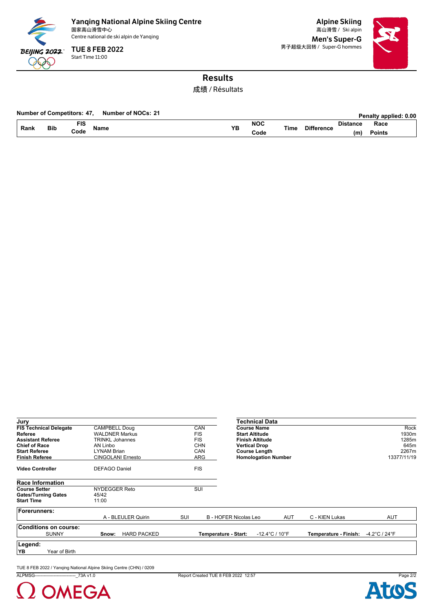

Start Time 11:00 TUE 8 FEB 2022

Alpine Skiing Men's Super-G 男子超级大回转 / Super-G hommes



## Results

成绩 / Résultats

#### **Number of Competitors: 47, Number of NOCs: 21 <b>Penalty applied: 0.00 Penalty applied: 0.00**

|      |            |                  |      |     |            |      |              |                 | <b>CHAILY ADDITCH. 0.00</b> |  |
|------|------------|------------------|------|-----|------------|------|--------------|-----------------|-----------------------------|--|
| Rank | <b>Bib</b> | <b>TIC</b><br>13 |      | VE  | <b>NOC</b> |      | ንif<br>----- | <b>Distance</b> | Race                        |  |
|      |            | Code             | Name | . . | Code       | Tim⊾ | тегепсе      | (m              | Points                      |  |

| Jury                                                                                                                                          |                                                                                                                                |                                                                    | Technical Data                                                                                                                                      |                       |                                                        |
|-----------------------------------------------------------------------------------------------------------------------------------------------|--------------------------------------------------------------------------------------------------------------------------------|--------------------------------------------------------------------|-----------------------------------------------------------------------------------------------------------------------------------------------------|-----------------------|--------------------------------------------------------|
| <b>FIS Technical Delegate</b><br>Referee<br><b>Assistant Referee</b><br><b>Chief of Race</b><br><b>Start Referee</b><br><b>Finish Referee</b> | <b>CAMPBELL Doug</b><br><b>WALDNER Markus</b><br>TRINKL Johannes<br>AN Linbo<br><b>LYNAM Brian</b><br><b>CINGOLANI Ernesto</b> | CAN<br><b>FIS</b><br><b>FIS</b><br><b>CHN</b><br><b>CAN</b><br>ARG | <b>Course Name</b><br><b>Start Altitude</b><br><b>Finish Altitude</b><br><b>Vertical Drop</b><br><b>Course Length</b><br><b>Homologation Number</b> |                       | Rock<br>1930m<br>1285m<br>645m<br>2267m<br>13377/11/19 |
| <b>Video Controller</b>                                                                                                                       | <b>DEFAGO Daniel</b>                                                                                                           | <b>FIS</b>                                                         |                                                                                                                                                     |                       |                                                        |
| <b>Race Information</b>                                                                                                                       |                                                                                                                                |                                                                    |                                                                                                                                                     |                       |                                                        |
| <b>Course Setter</b><br><b>Gates/Turning Gates</b>                                                                                            | <b>NYDEGGER Reto</b><br>45/42                                                                                                  | SUI                                                                |                                                                                                                                                     |                       |                                                        |
| <b>Start Time</b>                                                                                                                             | 11:00                                                                                                                          |                                                                    |                                                                                                                                                     |                       |                                                        |
| Forerunners:                                                                                                                                  | A - BLEULER Quirin                                                                                                             | SUI                                                                | <b>B - HOFER Nicolas Leo</b><br>AUT                                                                                                                 | C - KIEN Lukas        | AUT                                                    |
| <b>Conditions on course:</b><br><b>SUNNY</b>                                                                                                  | <b>HARD PACKED</b><br>Snow:                                                                                                    |                                                                    | Temperature - Start:<br>$-12.4^{\circ}$ C / 10 $^{\circ}$ F                                                                                         | Temperature - Finish: | -4.2°C / 24°F                                          |
| Legend:<br>YB<br>Year of Birth                                                                                                                |                                                                                                                                |                                                                    |                                                                                                                                                     |                       |                                                        |

TUE 8 FEB 2022 / Yanqing National Alpine Skiing Centre (CHN) / 0209



ALPMSG----------------------------\_73A v1.0 Report Created TUE 8 FEB 2022 12:57 Page 2/2

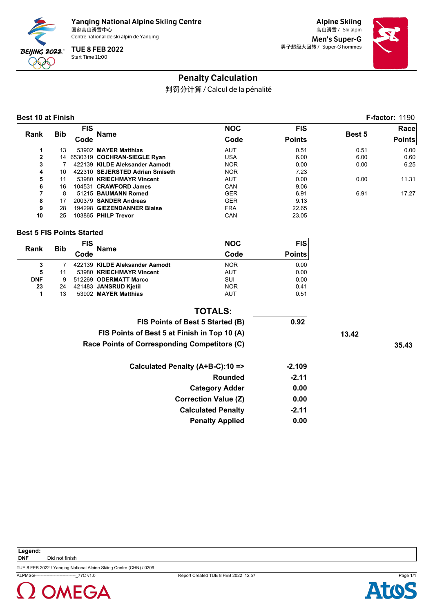

Alpine Skiing Men's Super-G 男子超级大回转 / Super-G hommes



## Penalty Calculation

判罚分计算 / Calcul de la pénalité

#### **Best 10 at Finish F-factor:** 1190

|                |            | <b>FIS</b> |                                 | <b>NOC</b> | <b>FIS</b>    |               | Race          |
|----------------|------------|------------|---------------------------------|------------|---------------|---------------|---------------|
| Rank           | <b>Bib</b> | Code       | Name                            | Code       | <b>Points</b> | <b>Best 5</b> | <b>Points</b> |
|                | 13         |            | 53902 MAYER Matthias            | <b>AUT</b> | 0.51          | 0.51          | 0.00          |
| $\overline{2}$ | 14         |            | 6530319 COCHRAN-SIEGLE Ryan     | USA        | 6.00          | 6.00          | 0.60          |
| 3              |            |            | 422139 KILDE Aleksander Aamodt  | <b>NOR</b> | 0.00          | 0.00          | 6.25          |
| 4              | 10         |            | 422310 SEJERSTED Adrian Smiseth | <b>NOR</b> | 7.23          |               |               |
| 5              | 11         |            | 53980 KRIECHMAYR Vincent        | <b>AUT</b> | 0.00          | 0.00          | 11.31         |
| 6              | 16         |            | 104531 CRAWFORD James           | CAN        | 9.06          |               |               |
| 7              | 8          |            | 51215 BAUMANN Romed             | <b>GER</b> | 6.91          | 6.91          | 17.27         |
| 8              | 17         |            | 200379 SANDER Andreas           | <b>GER</b> | 9.13          |               |               |
| 9              | 28         |            | 194298 GIEZENDANNER Blaise      | <b>FRA</b> | 22.65         |               |               |
| 10             | 25         |            | 103865 PHILP Trevor             | CAN        | 23.05         |               |               |

#### **Best 5 FIS Points Started**

|            | <b>Bib</b> | <b>FIS</b> | Name                           | <b>NOC</b> | <b>FIS</b>    |
|------------|------------|------------|--------------------------------|------------|---------------|
| Rank       |            | Code       |                                | Code       | <b>Points</b> |
|            |            |            | 422139 KILDE Aleksander Aamodt | <b>NOR</b> | 0.00          |
| 5          | 11         |            | 53980 KRIECHMAYR Vincent       | <b>AUT</b> | 0.00          |
| <b>DNF</b> | 9          |            | 512269 ODERMATT Marco          | SUI        | 0.00          |
| 23         | 24         |            | 421483 JANSRUD Kjetil          | <b>NOR</b> | 0.41          |
| 1          | 13         |            | 53902 MAYER Matthias           | AUT        | 0.51          |

#### **TOTALS:**

| 0.92     |       |
|----------|-------|
|          |       |
|          | 35.43 |
| $-2.109$ |       |
| $-2.11$  |       |
| 0.00     |       |
| 0.00     |       |
| $-2.11$  |       |
| 0.00     |       |
|          | 13.42 |



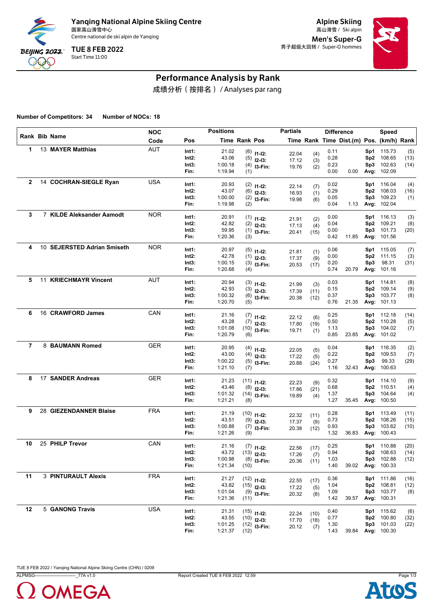

Alpine Skiing Men's Super-G 男子超级大回转 / Super-G hommes



# Performance Analysis by Rank

成绩分析(按排名) / Analyses par rang

**Number of Competitors: 34 Number of NOCs: 18**

|                |                             | <b>NOC</b> |          | <b>Positions</b> |               |                  | <b>Partials</b> |      |      | <b>Difference</b>                        |                 | Speed             |      |
|----------------|-----------------------------|------------|----------|------------------|---------------|------------------|-----------------|------|------|------------------------------------------|-----------------|-------------------|------|
|                | Rank Bib Name               | Code       | Pos      |                  | Time Rank Pos |                  |                 |      |      | Time Rank Time Dist.(m) Pos. (km/h) Rank |                 |                   |      |
| 1              | 13 MAYER Matthias           | <b>AUT</b> | Int1:    | 21.02            |               | $(6)$ 11-12:     | 22.04           | (4)  | 0.11 |                                          | Sp1             | 115.73            | (5)  |
|                |                             |            | Int2:    | 43.06            |               | $(5)$ 12-13:     | 17.12           | (3)  | 0.28 |                                          |                 | Sp2 108.65        | (13) |
|                |                             |            | Int3:    | 1:00.18          |               | $(4)$ 13-Fin:    | 19.76           | (2)  | 0.23 |                                          | Sp3             | 102.63            | (14) |
|                |                             |            | Fin:     | 1:19.94          | (1)           |                  |                 |      | 0.00 | 0.00                                     |                 | Avg: 102.09       |      |
| $\mathbf{2}$   | 14 COCHRAN-SIEGLE Ryan      | <b>USA</b> | Int1:    | 20.93            |               | $(2)$ 11-12:     | 22.14           | (7)  | 0.02 |                                          |                 | Sp1 116.04        | (4)  |
|                |                             |            | Int2:    | 43.07            |               | $(6)$ 12-13:     | 16.93           | (1)  | 0.29 |                                          | Sp2             | 108.03            | (16) |
|                |                             |            | Int3:    | 1:00.00          |               | $(2)$ 13-Fin:    | 19.98           | (6)  | 0.05 |                                          | Sp3             | 109.23            | (1)  |
|                |                             |            | Fin:     | 1:19.98          | (2)           |                  |                 |      | 0.04 | 1.13                                     |                 | Avg: 102.04       |      |
| 3              | 7 KILDE Aleksander Aamodt   | <b>NOR</b> | Int1:    | 20.91            |               | $(1)$ 11-12:     | 21.91           | (2)  | 0.00 |                                          |                 | Sp1 116.13        | (3)  |
|                |                             |            | Int2:    | 42.82            |               | $(2)$ 12-13:     | 17.13           | (4)  | 0.04 |                                          | Sp <sub>2</sub> | 109.21            | (8)  |
|                |                             |            | Int3:    | 59.95            |               | $(1)$ 13-Fin:    | 20.41           | (15) | 0.00 |                                          | Sp3             | 101.73            | (20) |
|                |                             |            | Fin:     | 1:20.36          | (3)           |                  |                 |      | 0.42 | 11.85                                    |                 | Avg: 101.56       |      |
| 4              | 10 SEJERSTED Adrian Smiseth | <b>NOR</b> | Int1:    | 20.97            |               | $(5)$ 11-12:     | 21.81           | (1)  | 0.06 |                                          |                 | Sp1 115.05        | (7)  |
|                |                             |            | Int2:    | 42.78            |               | $(1)$ 12-13:     | 17.37           | (9)  | 0.00 |                                          |                 | Sp2 111.15        | (3)  |
|                |                             |            | Int3:    | 1:00.15          |               | $(3)$ 13-Fin:    | 20.53           | (17) | 0.20 |                                          | Sp3             | 98.31             | (31) |
|                |                             |            | Fin:     | 1:20.68          | (4)           |                  |                 |      | 0.74 | 20.79                                    |                 | Avg: 101.16       |      |
| 5              | 11 KRIECHMAYR Vincent       | <b>AUT</b> | Int1:    | 20.94            |               | $(3)$ 11-12:     | 21.99           | (3)  | 0.03 |                                          | Sp1             | 114.81            | (8)  |
|                |                             |            | Int2:    | 42.93            |               | $(3)$ 12-13:     | 17.39           | (11) | 0.15 |                                          | Sp <sub>2</sub> | 109.14            | (9)  |
|                |                             |            | Int3:    | 1:00.32          |               | $(6)$ 13-Fin:    | 20.38           | (12) | 0.37 |                                          | Sp3             | 103.77            | (8)  |
|                |                             |            | Fin:     | 1:20.70          | (5)           |                  |                 |      | 0.76 | 21.35                                    |                 | Avg: 101.13       |      |
| 6              | 16 CRAWFORD James           | CAN        | Int1:    | 21.16            |               | $(7)$ 11-12:     | 22.12           | (6)  | 0.25 |                                          |                 | Sp1 112.18        | (14) |
|                |                             |            | Int2:    | 43.28            |               | $(7)$ 12-13:     | 17.80           | (19) | 0.50 |                                          |                 | Sp2 110.28        | (5)  |
|                |                             |            | Int3:    | 1:01.08          |               | $(10)$ 13-Fin:   | 19.71           | (1)  | 1.13 |                                          | Sp3             | 104.02            | (7)  |
|                |                             |            | Fin:     | 1:20.79          | (6)           |                  |                 |      | 0.85 | 23.85                                    |                 | Avg: 101.02       |      |
| $\overline{7}$ | 8 BAUMANN Romed             | <b>GER</b> | Int1:    | 20.95            |               | $(4)$ 11-12:     | 22.05           | (5)  | 0.04 |                                          | Sp1             | 116.35            | (2)  |
|                |                             |            | Int2:    | 43.00            |               | $(4)$ 12-13:     | 17.22           | (5)  | 0.22 |                                          | Sp <sub>2</sub> | 109.53            | (7)  |
|                |                             |            | Int3:    | 1:00.22          |               | $(5)$ 13-Fin:    | 20.88           | (24) | 0.27 |                                          | Sp3             | 99.33             | (29) |
|                |                             |            | Fin:     | 1:21.10          | (7)           |                  |                 |      | 1.16 | 32.43                                    |                 | Avg: 100.63       |      |
| 8              | 17 SANDER Andreas           | <b>GER</b> | Int1:    | 21.23            |               | $(11)$ $11-12$ : | 22.23           | (9)  | 0.32 |                                          |                 | Sp1 114.10        | (9)  |
|                |                             |            | Int2:    | 43.46            |               | $(8)$ 12-13:     | 17.86           | (21) | 0.68 |                                          |                 | Sp2 110.51        | (4)  |
|                |                             |            | Int3:    | 1:01.32          |               | $(14)$ 13-Fin:   | 19.89           | (4)  | 1.37 |                                          | Sp3             | 104.64            | (4)  |
|                |                             |            | Fin:     | 1:21.21          | (8)           |                  |                 |      | 1.27 | 35.45                                    |                 | Avg: 100.50       |      |
| 9              | 28 GIEZENDANNER Blaise      | <b>FRA</b> | Int1:    | 21.19            |               | $(10)$ 11-12:    | 22.32           | (11) | 0.28 |                                          | Sp1             | 113.49            | (11) |
|                |                             |            | Int2:    | 43.51            |               | $(9)$ 12-13:     | 17.37           | (9)  | 0.73 |                                          | Sp <sub>2</sub> | 108.26            | (15) |
|                |                             |            | Int3:    | 1:00.88          |               | $(7)$ 13-Fin:    | 20.38           | (12) | 0.93 |                                          | Sp3             | 103.62            | (10) |
|                |                             |            | Fin:     | 1:21.26          | (9)           |                  |                 |      | 1.32 | 36.83                                    |                 | Avg: 100.43       |      |
| 10             | 25 PHILP Trevor             | CAN        | Int1:    | 21.16            |               | $(7)$ 11-12:     | 22.56           | (17) | 0.25 |                                          |                 | Sp1 110.88        | (20) |
|                |                             |            | $Int2$ : | 43.72            |               | $(13)$ 12-13:    | 17.26           | (7)  | 0.94 |                                          |                 | Sp2 108.63        | (14) |
|                |                             |            | Int3:    | 1:00.98          |               | $(8)$ 13-Fin:    | 20.36           | (11) | 1.03 |                                          |                 | Sp3 102.88        | (12) |
|                |                             |            | Fin:     | 1:21.34          | (10)          |                  |                 |      | 1.40 |                                          |                 | 39.02 Avg: 100.33 |      |
| 11             | <b>3 PINTURAULT Alexis</b>  | <b>FRA</b> | Int1:    | 21.27            |               | $(12)$ $11-12$ : | 22.55           | (17) | 0.36 |                                          |                 | Sp1 111.86        | (16) |
|                |                             |            | Int2:    | 43.82            |               | $(15)$ 12-13:    | 17.22           | (5)  | 1.04 |                                          |                 | Sp2 108.81        | (12) |
|                |                             |            | Int3:    | 1:01.04          |               | $(9)$ 13-Fin:    | 20.32           | (8)  | 1.09 |                                          |                 | Sp3 103.77        | (8)  |
|                |                             |            | Fin:     | 1:21.36          | (11)          |                  |                 |      | 1.42 | 39.57                                    |                 | Avg: 100.31       |      |
| 12             | 5 GANONG Travis             | <b>USA</b> | Int1:    | 21.31            |               | $(15)$ 11-12:    | 22.24           | (10) | 0.40 |                                          |                 | Sp1 115.62        | (6)  |
|                |                             |            | Int2:    | 43.55            |               | $(10)$ 12-13:    | 17.70           | (18) | 0.77 |                                          |                 | Sp2 100.80        | (32) |
|                |                             |            | Int3:    | 1:01.25          |               | $(12)$ 13-Fin:   | 20.12           | (7)  | 1.30 |                                          |                 | Sp3 101.03        | (22) |
|                |                             |            | Fin:     | 1:21.37          | (12)          |                  |                 |      | 1.43 | 39.84                                    |                 | Avg: 100.30       |      |



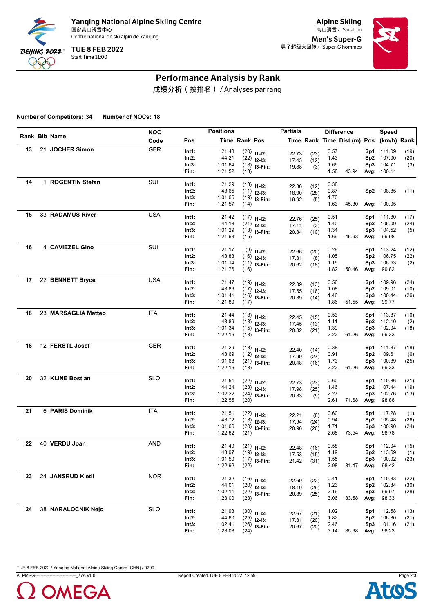

Alpine Skiing Men's Super-G 男子超级大回转 / Super-G hommes



# Performance Analysis by Rank

成绩分析(按排名) / Analyses par rang

**Number of Competitors: 34 Number of NOCs: 18**

|    |                     | <b>NOC</b> |          | <b>Positions</b> |               |                  | <b>Partials</b> |              |      | <b>Difference</b>                        |                 | Speed       |      |
|----|---------------------|------------|----------|------------------|---------------|------------------|-----------------|--------------|------|------------------------------------------|-----------------|-------------|------|
|    | Rank Bib Name       | Code       | Pos      |                  | Time Rank Pos |                  |                 |              |      | Time Rank Time Dist.(m) Pos. (km/h) Rank |                 |             |      |
| 13 | 21 JOCHER Simon     | <b>GER</b> | Int1:    | 21.48            |               | $(20)$ 11-12:    | 22.73           | (23)         | 0.57 |                                          | Sp1             | 111.09      | (19) |
|    |                     |            | Int2:    | 44.21            |               | $(22)$ 12-13:    | 17.43           | (12)         | 1.43 |                                          |                 | Sp2 107.00  | (20) |
|    |                     |            | Int3:    | 1:01.64          |               | $(18)$ 13-Fin:   | 19.88           | (3)          | 1.69 |                                          | Sp3             | 104.71      | (3)  |
|    |                     |            | Fin:     | 1:21.52          | (13)          |                  |                 |              | 1.58 | 43.94                                    |                 | Avg: 100.11 |      |
| 14 | 1 ROGENTIN Stefan   | SUI        | Int1:    | 21.29            |               | $(13)$ 11-12:    |                 |              | 0.38 |                                          |                 |             |      |
|    |                     |            | Int2:    | 43.65            |               | $(11)$ 12-13:    | 22.36<br>18.00  | (12)<br>(28) | 0.87 |                                          | Sp2             | 108.85      | (11) |
|    |                     |            | Int3:    | 1:01.65          |               | $(19)$ 13-Fin:   | 19.92           | (5)          | 1.70 |                                          |                 |             |      |
|    |                     |            | Fin:     | 1:21.57          | (14)          |                  |                 |              | 1.63 | 45.30                                    |                 | Avg: 100.05 |      |
| 15 | 33 RADAMUS River    | <b>USA</b> | Int1:    | 21.42            |               | $(17)$ 11-12:    |                 |              | 0.51 |                                          | Sp1             | 111.80      | (17) |
|    |                     |            | Int2:    | 44.18            |               | $(21)$ 12-13:    | 22.76<br>17.11  | (25)         | 1.40 |                                          | Sp <sub>2</sub> | 106.09      | (24) |
|    |                     |            | Int3:    | 1:01.29          |               | $(13)$ 13-Fin:   | 20.34           | (2)<br>(10)  | 1.34 |                                          | Sp3             | 104.52      | (5)  |
|    |                     |            | Fin:     | 1:21.63          | (15)          |                  |                 |              | 1.69 | 46.93                                    | Avg:            | 99.98       |      |
| 16 | 4 CAVIEZEL Gino     | SUI        | Int1:    | 21.17            |               | $(9)$ 11-12:     |                 |              | 0.26 |                                          | Sp1             | 113.24      | (12) |
|    |                     |            | Int2:    | 43.83            |               | $(16)$ 12-13:    | 22.66           | (20)         | 1.05 |                                          | Sp <sub>2</sub> | 106.75      | (22) |
|    |                     |            | Int3:    | 1:01.14          |               | $(11)$ 13-Fin:   | 17.31<br>20.62  | (8)<br>(18)  | 1.19 |                                          | Sp3             | 106.53      | (2)  |
|    |                     |            | Fin:     | 1:21.76          | (16)          |                  |                 |              | 1.82 | 50.46                                    | Avg:            | 99.82       |      |
| 17 | 22 BENNETT Bryce    | <b>USA</b> | Int1:    | 21.47            |               | $(19)$ $11-12$ : |                 |              | 0.56 |                                          | Sp1             | 109.96      | (24) |
|    |                     |            | Int2:    | 43.86            |               | $(17)$ 12-13:    | 22.39           | (13)         | 1.08 |                                          | Sp <sub>2</sub> | 109.01      | (10) |
|    |                     |            | Int3:    | 1:01.41          |               | $(16)$ 13-Fin:   | 17.55<br>20.39  | (16)<br>(14) | 1.46 |                                          | Sp3             | 100.44      | (26) |
|    |                     |            | Fin:     | 1:21.80          | (17)          |                  |                 |              | 1.86 | 51.55                                    | Avg:            | 99.77       |      |
| 18 | 23 MARSAGLIA Matteo | ITA        | Int1:    | 21.44            |               | $(18)$ 11-12:    |                 |              | 0.53 |                                          |                 | Sp1 113.87  | (10) |
|    |                     |            | Int2:    | 43.89            |               | $(18)$ 12-13:    | 22.45           | (15)         | 1.11 |                                          | Sp <sub>2</sub> | 112.10      | (2)  |
|    |                     |            | Int3:    | 1:01.34          |               | $(15)$ 13-Fin:   | 17.45<br>20.82  | (13)<br>(21) | 1.39 |                                          | Sp3             | 102.04      | (18) |
|    |                     |            | Fin:     | 1:22.16          | (18)          |                  |                 |              | 2.22 | 61.26                                    | Avg:            | 99.33       |      |
| 18 | 12 FERSTL Josef     | <b>GER</b> | Int1:    | 21.29            |               | $(13)$ 11-12:    |                 |              | 0.38 |                                          | Sp1             | 111.37      | (18) |
|    |                     |            | Int2:    | 43.69            |               | $(12)$ 12-13:    | 22.40<br>17.99  | (14)<br>(27) | 0.91 |                                          | Sp <sub>2</sub> | 109.61      | (6)  |
|    |                     |            | Int3:    | 1:01.68          |               | $(21)$ 13-Fin:   | 20.48           | (16)         | 1.73 |                                          | Sp3             | 100.89      | (25) |
|    |                     |            | Fin:     | 1:22.16          | (18)          |                  |                 |              | 2.22 | 61.26                                    | Avg:            | 99.33       |      |
| 20 | 32 KLINE Bostjan    | <b>SLO</b> | Int1:    | 21.51            |               | $(22)$ 11-12:    | 22.73           | (23)         | 0.60 |                                          |                 | Sp1 110.86  | (21) |
|    |                     |            | Int2:    | 44.24            |               | $(23)$ 12-13:    | 17.98           | (25)         | 1.46 |                                          | Sp <sub>2</sub> | 107.44      | (19) |
|    |                     |            | Int3:    | 1:02.22          |               | $(24)$ 13-Fin:   | 20.33           | (9)          | 2.27 |                                          | Sp3             | 102.76      | (13) |
|    |                     |            | Fin:     | 1:22.55          | (20)          |                  |                 |              | 2.61 | 71.68                                    | Avg:            | 98.86       |      |
| 21 | 6 PARIS Dominik     | ITA        | Int1:    | 21.51            |               | $(22)$ 11-12:    | 22.21           | (8)          | 0.60 |                                          | Sp1             | 117.28      | (1)  |
|    |                     |            | Int2:    | 43.72            |               | $(13)$ 12-13:    | 17.94           | (24)         | 0.94 |                                          | Sp <sub>2</sub> | 105.48      | (26) |
|    |                     |            | Int3:    | 1:01.66          |               | $(20)$ 13-Fin:   | 20.96           | (26)         | 1.71 |                                          | Sp3             | 100.90      | (24) |
|    |                     |            | Fin:     | 1:22.62          | (21)          |                  |                 |              | 2.68 | 73.54                                    | Avg:            | 98.78       |      |
| 22 | 40 VERDU Joan       | AND        | Int1:    | 21.49            |               | $(21)$ 11-12:    | 22.48           | (16)         | 0.58 |                                          |                 | Sp1 112.04  | (15) |
|    |                     |            | $Int2$ : | 43.97            |               | $(19)$ 12-13:    | 17.53           | (15)         | 1.19 |                                          |                 | Sp2 113.69  | (1)  |
|    |                     |            | Int3:    | 1:01.50          |               | $(17)$ 13-Fin:   | 21.42           | (31)         | 1.55 |                                          |                 | Sp3 100.92  | (23) |
|    |                     |            | Fin:     | 1:22.92          | (22)          |                  |                 |              | 2.98 | 81.47                                    |                 | Avg: 98.42  |      |
| 23 | 24 JANSRUD Kjetil   | <b>NOR</b> | Int1:    | 21.32            |               | $(16)$ 11-12:    | 22.69           | (22)         | 0.41 |                                          |                 | Sp1 110.33  | (22) |
|    |                     |            | Int2:    | 44.01            |               | $(20)$ 12-13:    | 18.10           | (29)         | 1.23 |                                          |                 | Sp2 102.84  | (30) |
|    |                     |            | Int3:    | 1:02.11          |               | $(22)$ 13-Fin:   | 20.89           | (25)         | 2.16 |                                          | Sp3             | 99.97       | (28) |
|    |                     |            | Fin:     | 1:23.00          | (23)          |                  |                 |              | 3.06 | 83.58                                    |                 | Avg: 98.33  |      |
| 24 | 38 NARALOCNIK Nejc  | <b>SLO</b> | Int1:    | 21.93            |               | $(30)$ 11-12:    | 22.67           | (21)         | 1.02 |                                          |                 | Sp1 112.58  | (13) |
|    |                     |            | Int2:    | 44.60            |               | $(25)$ 12-13:    | 17.81           | (20)         | 1.82 |                                          |                 | Sp2 106.80  | (21) |
|    |                     |            | Int3:    | 1:02.41          |               | $(26)$ 13-Fin:   | 20.67           | (20)         | 2.46 |                                          |                 | Sp3 101.16  | (21) |
|    |                     |            | Fin:     | 1:23.08          | (24)          |                  |                 |              | 3.14 | 85.68                                    |                 | Avg: 98.23  |      |



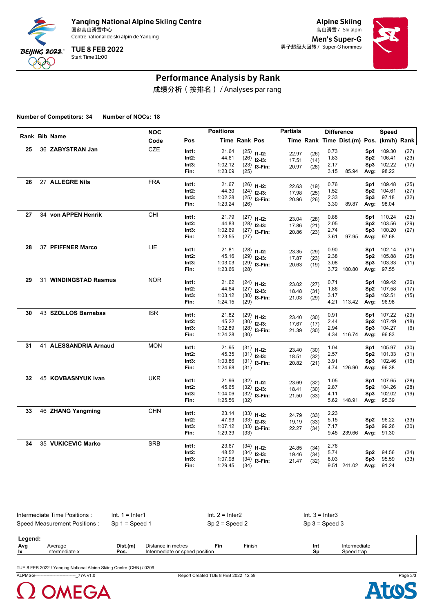

Alpine Skiing Men's Super-G 男子超级大回转 / Super-G hommes



## Performance Analysis by Rank

成绩分析(按排名) / Analyses par rang

**Number of Competitors: 34 Number of NOCs: 18**

|    |                       | <b>NOC</b> |       | <b>Positions</b> |               |                                 | <b>Partials</b> |              |              | <b>Difference</b>                        |                 | Speed      |      |
|----|-----------------------|------------|-------|------------------|---------------|---------------------------------|-----------------|--------------|--------------|------------------------------------------|-----------------|------------|------|
|    | Rank Bib Name         | Code       | Pos   |                  | Time Rank Pos |                                 |                 |              |              | Time Rank Time Dist.(m) Pos. (km/h) Rank |                 |            |      |
| 25 | 36 ZABYSTRAN Jan      | CZE        | Int1: | 21.64            |               | $(25)$ 11-12:                   | 22.97           | (26)         | 0.73         |                                          | Sp1             | 109.30     | (27) |
|    |                       |            | Int2: | 44.61            |               | $(26)$ 12-13:                   | 17.51           | (14)         | 1.83         |                                          | Sp2             | 106.41     | (23) |
|    |                       |            | Int3: | 1:02.12          |               | $(23)$ 13-Fin:                  | 20.97           | (28)         | 2.17         |                                          | Sp3             | 102.22     | (17) |
|    |                       |            | Fin:  | 1:23.09          | (25)          |                                 |                 |              | 3.15         | 85.94                                    | Avg:            | 98.22      |      |
| 26 | 27 ALLEGRE Nils       | <b>FRA</b> | Int1: | 21.67            |               |                                 |                 |              | 0.76         |                                          | Sp1             | 109.48     | (25) |
|    |                       |            | Int2: | 44.30            |               | $(26)$ 11-12:<br>$(24)$ 12-13:  | 22.63           | (19)         | 1.52         |                                          | Sp2             | 104.61     | (27) |
|    |                       |            | Int3: | 1:02.28          |               | $(25)$ 13-Fin:                  | 17.98           | (25)         | 2.33         |                                          | Sp3             | 97.18      | (32) |
|    |                       |            | Fin:  | 1:23.24          | (26)          |                                 | 20.96           | (26)         | 3.30         | 89.87                                    | Avg:            | 98.04      |      |
| 27 | 34 von APPEN Henrik   | <b>CHI</b> | Int1: | 21.79            |               |                                 |                 |              | 0.88         |                                          | Sp1             | 110.24     | (23) |
|    |                       |            | Int2: | 44.83            |               | $(27)$ 11-12:                   | 23.04           | (28)         | 2.05         |                                          | Sp2             | 103.56     | (29) |
|    |                       |            | Int3: | 1:02.69          |               | $(28)$ 12-13:<br>$(27)$ 13-Fin: | 17.86           | (21)         | 2.74         |                                          | Sp3             | 100.20     | (27) |
|    |                       |            | Fin:  | 1:23.55          | (27)          |                                 | 20.86           | (23)         | 3.61         | 97.95                                    | Avg:            | 97.68      |      |
|    |                       |            |       |                  |               |                                 |                 |              |              |                                          |                 |            |      |
| 28 | 37 PFIFFNER Marco     | LIE        | Int1: | 21.81            |               | $(28)$ 11-12:                   | 23.35           | (29)         | 0.90         |                                          | Sp1             | 102.14     | (31) |
|    |                       |            | Int2: | 45.16            |               | $(29)$ 12-13:                   | 17.87           | (23)         | 2.38         |                                          | Sp2             | 105.88     | (25) |
|    |                       |            | Int3: | 1:03.03          |               | $(29)$ 13-Fin:                  | 20.63           | (19)         | 3.08         |                                          | Sp3             | 103.33     | (11) |
|    |                       |            | Fin:  | 1:23.66          | (28)          |                                 |                 |              |              | 3.72 100.80                              |                 | Avg: 97.55 |      |
| 29 | 31 WINDINGSTAD Rasmus | <b>NOR</b> | Int1: | 21.62            |               | $(24)$ 11-12:                   | 23.02           | (27)         | 0.71         |                                          | Sp1             | 109.42     | (26) |
|    |                       |            | Int2: | 44.64            |               | $(27)$ 12-13:                   | 18.48           | (31)         | 1.86         |                                          | Sp2             | 107.58     | (17) |
|    |                       |            | Int3: | 1:03.12          |               | $(30)$ 13-Fin:                  | 21.03           | (29)         | 3.17         |                                          | Sp3             | 102.51     | (15) |
|    |                       |            | Fin:  | 1:24.15          | (29)          |                                 |                 |              |              | 4.21 113.42                              | Avg:            | 96.98      |      |
| 30 | 43 SZOLLOS Barnabas   | <b>ISR</b> | Int1: | 21.82            |               | $(29)$ 11-12:                   | 23.40           | (30)         | 0.91         |                                          | Sp1             | 107.22     | (29) |
|    |                       |            | Int2: | 45.22            |               | $(30)$ 12-13:                   | 17.67           | (17)         | 2.44         |                                          | Sp2             | 107.49     | (18) |
|    |                       |            | Int3: | 1:02.89          |               | $(28)$ 13-Fin:                  | 21.39           | (30)         | 2.94         |                                          | Sp3             | 104.27     | (6)  |
|    |                       |            | Fin:  | 1:24.28          | (30)          |                                 |                 |              |              | 4.34 116.74                              | Avg:            | 96.83      |      |
| 31 | 41 ALESSANDRIA Arnaud | <b>MON</b> | Int1: | 21.95            |               | $(31)$ 11-12:                   |                 |              | 1.04         |                                          | Sp1             | 105.97     | (30) |
|    |                       |            | Int2: | 45.35            |               | $(31)$ 12-13:                   | 23.40<br>18.51  | (30)<br>(32) | 2.57         |                                          | Sp2             | 101.33     | (31) |
|    |                       |            | Int3: | 1:03.86          |               | $(31)$ 13-Fin:                  | 20.82           | (21)         | 3.91         |                                          | Sp3             | 102.46     | (16) |
|    |                       |            | Fin:  | 1:24.68          | (31)          |                                 |                 |              |              | 4.74 126.90                              | Avg:            | 96.38      |      |
| 32 | 45 KOVBASNYUK Ivan    | <b>UKR</b> | Int1: | 21.96            |               | $(32)$ 11-12:                   |                 |              | 1.05         |                                          | Sp1             | 107.65     | (28) |
|    |                       |            | Int2: | 45.65            |               | $(32)$ 12-13:                   | 23.69           | (32)         | 2.87         |                                          | Sp2             | 104.26     | (28) |
|    |                       |            | Int3: | 1:04.06          |               | $(32)$ 13-Fin:                  | 18.41           | (30)         | 4.11         |                                          | Sp3             | 102.02     | (19) |
|    |                       |            | Fin:  | 1:25.56          | (32)          |                                 | 21.50           | (33)         |              | 5.62 148.91                              | Avg:            | 95.39      |      |
| 33 | 46 ZHANG Yangming     | <b>CHN</b> | Int1: | 23.14            |               |                                 |                 |              | 2.23         |                                          |                 |            |      |
|    |                       |            | Int2: | 47.93            |               | $(33)$ 11-12:                   | 24.79           | (33)         | 5.15         |                                          | Sp2             | 96.22      | (33) |
|    |                       |            | Int3: | 1:07.12          |               | $(33)$ 12-13:                   | 19.19           | (33)         | 7.17         |                                          | Sp3             | 99.26      | (30) |
|    |                       |            | Fin:  | 1:29.39          | (33)          | $(33)$ 13-Fin:                  | 22.27           | (34)         |              | 9.45 239.66                              | Avg:            | 91.30      |      |
| 34 | 35 VUKICEVIC Marko    | <b>SRB</b> | Int1: |                  |               |                                 |                 |              |              |                                          |                 |            |      |
|    |                       |            | Int2: | 23.67<br>48.52   |               | $(34)$ 11-12:                   | 24.85           | (34)         | 2.76<br>5.74 |                                          | Sp <sub>2</sub> | 94.56      | (34) |
|    |                       |            | Int3: | 1:07.98          |               | $(34)$ 12-13:                   | 19.46           | (34)         | 8.03         |                                          | Sp3             | 95.59      | (33) |
|    |                       |            | Fin:  | 1:29.45          | (34)          | $(34)$ 13-Fin:                  | 21.47           | (32)         |              | 9.51 241.02 Avg: 91.24                   |                 |            |      |
|    |                       |            |       |                  |               |                                 |                 |              |              |                                          |                 |            |      |

| lntermediate Time Positions : | Int. 1 = Inter1 | Int. $2 =$ Inter2           | Int. $3 =$ Inter3 |
|-------------------------------|-----------------|-----------------------------|-------------------|
| Speed Measurement Positions:  | Sp 1 = Speed 1  | $Sp 2 = Speed 2$            | $Sp 3 = Speed 3$  |
| Legend:                       |                 | --<br>$- \cdot \cdot \cdot$ |                   |

| .          |             |          |                                     |     |                                |     |              |  |
|------------|-------------|----------|-------------------------------------|-----|--------------------------------|-----|--------------|--|
| <b>Avc</b> | Average     | Dist.(m) | າ metres<br>⊃istance in             | Fin | Finish<br>$\sim$ $\sim$ $\sim$ | Int | Intermediate |  |
| lıx        | termediate. | Pos.     | l position<br>Intermediate or speed |     |                                | Sn  | Speed trar   |  |
|            |             |          |                                     |     |                                |     |              |  |

TUE 8 FEB 2022 / Yanqing National Alpine Skiing Centre (CHN) / 0209

ALPMSG----------------------------\_77A v1.0 Report Created TUE 8 FEB 2022 12:59 Page 3/3



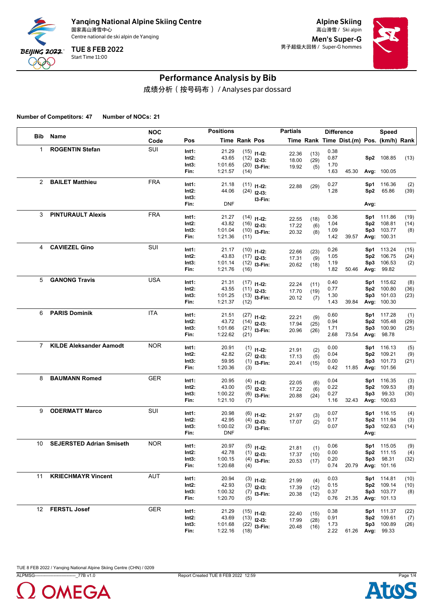

Alpine Skiing Men's Super-G 男子超级大回转 / Super-G hommes



## Performance Analysis by Bib

成绩分析(按号码布) / Analyses par dossard

**Number of Competitors: 47 Number of NOCs: 21**

|                |                                 | <b>NOC</b> |               | <b>Positions</b>   |               |                  | <b>Partials</b> |             | <b>Difference</b> |                                          |      | <b>Speed</b>          |      |
|----------------|---------------------------------|------------|---------------|--------------------|---------------|------------------|-----------------|-------------|-------------------|------------------------------------------|------|-----------------------|------|
| <b>Bib</b>     | Name                            | Code       | Pos           |                    | Time Rank Pos |                  |                 |             |                   | Time Rank Time Dist.(m) Pos. (km/h) Rank |      |                       |      |
| $\mathbf{1}$   | <b>ROGENTIN Stefan</b>          | SUI        | Int1:         | 21.29              |               | $(15)$ 11-12:    | 22.36           | (13)        | 0.38              |                                          |      |                       |      |
|                |                                 |            | Int2:         | 43.65              |               | $(12)$ 12-13:    | 18.00           | (29)        | 0.87              |                                          |      | Sp2 108.85            | (13) |
|                |                                 |            | Int3:         | 1:01.65            |               | $(20)$ 13-Fin:   | 19.92           | (5)         | 1.70              |                                          |      |                       |      |
|                |                                 |            | Fin:          | 1:21.57            | (14)          |                  |                 |             | 1.63              | 45.30                                    |      | Avg: 100.05           |      |
| $\overline{2}$ | <b>BAILET Matthieu</b>          | <b>FRA</b> | Int1:         | 21.18              |               | $(11)$ $11-12$ : | 22.88           | (29)        | 0.27              |                                          |      | Sp1 116.36            | (2)  |
|                |                                 |            | Int2:         | 44.06              |               | $(24)$ 12-13:    |                 |             | 1.28              |                                          | Sp2  | 65.86                 | (39) |
|                |                                 |            | Int3:         | <b>DNF</b>         |               | I3-Fin:          |                 |             |                   |                                          |      |                       |      |
|                |                                 |            | Fin:          |                    |               |                  |                 |             |                   |                                          | Avg: |                       |      |
| 3              | <b>PINTURAULT Alexis</b>        | <b>FRA</b> | Int1:         | 21.27              |               | $(14)$ 11-12:    | 22.55           | (18)        | 0.36              |                                          |      | Sp1 111.86            | (19) |
|                |                                 |            | Int2:         | 43.82              |               | $(16)$ 12-13:    | 17.22           | (6)         | 1.04              |                                          | Sp2  | 108.81                | (14) |
|                |                                 |            | Int3:<br>Fin: | 1:01.04<br>1:21.36 | (11)          | $(10)$ 13-Fin:   | 20.32           | (8)         | 1.09<br>1.42      | 39.57                                    | Sp3  | 103.77<br>Avg: 100.31 | (8)  |
|                |                                 |            |               |                    |               |                  |                 |             |                   |                                          |      |                       |      |
| 4              | <b>CAVIEZEL Gino</b>            | SUI        | Int1:         | 21.17              |               | $(10)$ 11-12:    | 22.66           | (23)        | 0.26              |                                          |      | Sp1 113.24            | (15) |
|                |                                 |            | Int2:         | 43.83              |               | $(17)$ 12-13:    | 17.31           | (9)         | 1.05              |                                          | Sp2  | 106.75                | (24) |
|                |                                 |            | Int3:         | 1:01.14            |               | $(12)$ 13-Fin:   | 20.62           | (18)        | 1.19              |                                          | Sp3  | 106.53                | (2)  |
|                |                                 |            | Fin:          | 1:21.76            | (16)          |                  |                 |             | 1.82              | 50.46                                    | Avg: | 99.82                 |      |
| 5              | <b>GANONG Travis</b>            | <b>USA</b> | Int1:         | 21.31              |               | $(17)$ 11-12:    | 22.24           | (11)        | 0.40              |                                          |      | Sp1 115.62            | (8)  |
|                |                                 |            | Int2:         | 43.55              |               | $(11)$ 12-13:    | 17.70           | (19)        | 0.77              |                                          | Sp2  | 100.80                | (36) |
|                |                                 |            | Int3:         | 1:01.25            |               | $(13)$ 13-Fin:   | 20.12           | (7)         | 1.30              |                                          | Sp3  | 101.03                | (23) |
|                |                                 |            | Fin:          | 1:21.37            | (12)          |                  |                 |             | 1.43              | 39.84                                    |      | Avg: 100.30           |      |
| 6              | <b>PARIS Dominik</b>            | <b>ITA</b> | Int1:         | 21.51              |               | $(27)$ 11-12:    |                 |             | 0.60              |                                          |      | Sp1 117.28            | (1)  |
|                |                                 |            | Int2:         | 43.72              |               | $(14)$ 12-13:    | 22.21<br>17.94  | (9)<br>(25) | 0.94              |                                          | Sp2  | 105.48                | (29) |
|                |                                 |            | Int3:         | 1:01.66            |               | $(21)$ 13-Fin:   | 20.96           | (26)        | 1.71              |                                          | Sp3  | 100.90                | (25) |
|                |                                 |            | Fin:          | 1:22.62            | (21)          |                  |                 |             | 2.68              | 73.54                                    | Avg: | 98.78                 |      |
| $\overline{7}$ | <b>KILDE Aleksander Aamodt</b>  | <b>NOR</b> | Int1:         | 20.91              |               | $(1)$ 11-12:     |                 |             | 0.00              |                                          | Sp1  | 116.13                | (5)  |
|                |                                 |            | Int2:         | 42.82              |               | $(2)$ 12-13:     | 21.91<br>17.13  | (2)<br>(5)  | 0.04              |                                          | Sp2  | 109.21                | (9)  |
|                |                                 |            | Int3:         | 59.95              |               | $(1)$ 13-Fin:    | 20.41           | (15)        | 0.00              |                                          | Sp3  | 101.73                | (21) |
|                |                                 |            | Fin:          | 1:20.36            | (3)           |                  |                 |             | 0.42              | 11.85                                    |      | Avg: 101.56           |      |
| 8              | <b>BAUMANN Romed</b>            | <b>GER</b> | Int1:         | 20.95              |               | $(4)$ 11-12:     |                 |             | 0.04              |                                          |      | Sp1 116.35            | (3)  |
|                |                                 |            | Int2:         | 43.00              |               | $(5)$ 12-13:     | 22.05<br>17.22  | (6)<br>(6)  | 0.22              |                                          |      | Sp2 109.53            | (8)  |
|                |                                 |            | Int3:         | 1:00.22            |               | $(6)$ 13-Fin:    | 20.88           | (24)        | 0.27              |                                          | Sp3  | 99.33                 | (30) |
|                |                                 |            | Fin:          | 1:21.10            | (7)           |                  |                 |             | 1.16              | 32.43                                    |      | Avg: 100.63           |      |
| 9              | <b>ODERMATT Marco</b>           | SUI        | Int1:         | 20.98              |               | $(6)$ 11-12:     |                 |             | 0.07              |                                          |      | Sp1 116.15            | (4)  |
|                |                                 |            | Int2:         | 42.95              |               | $(4)$ 12-13:     | 21.97<br>17.07  | (3)<br>(2)  | 0.17              |                                          |      | Sp2 111.94            | (3)  |
|                |                                 |            | Int3:         | 1:00.02            |               | $(3)$ 13-Fin:    |                 |             | 0.07              |                                          |      | Sp3 102.63            | (14) |
|                |                                 |            | Fin:          | <b>DNF</b>         |               |                  |                 |             |                   |                                          | Avg: |                       |      |
| 10             | <b>SEJERSTED Adrian Smiseth</b> | <b>NOR</b> | Int1:         | 20.97              |               | $(5)$ 11-12:     |                 |             | 0.06              |                                          |      | Sp1 115.05            | (9)  |
|                |                                 |            | $Int2$ :      | 42.78              |               | $(1)$ 12-13:     | 21.81<br>17.37  | (1)<br>(10) | 0.00              |                                          |      | Sp2 111.15            | (4)  |
|                |                                 |            | Int3:         | 1:00.15            |               | $(4)$ 13-Fin:    | 20.53           | (17)        | 0.20              |                                          |      | Sp3 98.31             | (32) |
|                |                                 |            | Fin:          | 1:20.68            | (4)           |                  |                 |             | 0.74              | 20.79                                    |      | Avg: 101.16           |      |
| 11             | <b>KRIECHMAYR Vincent</b>       | AUT        | Int1:         | 20.94              |               | $(3)$ 11-12:     | 21.99           | (4)         | 0.03              |                                          |      | Sp1 114.81            | (10) |
|                |                                 |            | Int2:         | 42.93              |               | $(3)$ 12-13:     | 17.39           | (12)        | 0.15              |                                          |      | Sp2 109.14            | (10) |
|                |                                 |            | Int3:         | 1:00.32            |               | $(7)$ 13-Fin:    | 20.38           | (12)        | 0.37              |                                          |      | Sp3 103.77            | (8)  |
|                |                                 |            | Fin:          | 1:20.70            | (5)           |                  |                 |             | 0.76              | 21.35                                    |      | Avg: 101.13           |      |
| 12             | <b>FERSTL Josef</b>             | <b>GER</b> | Int1:         | 21.29              |               | $(15)$ 11-12:    | 22.40           | (15)        | 0.38              |                                          |      | Sp1 111.37            | (22) |
|                |                                 |            | $Int2$ :      | 43.69              |               | $(13)$ 12-13:    | 17.99           | (28)        | 0.91              |                                          |      | Sp2 109.61            | (7)  |
|                |                                 |            | Int3:         | 1:01.68            |               | $(22)$ 13-Fin:   | 20.48           | (16)        | 1.73              |                                          |      | Sp3 100.89            | (26) |
|                |                                 |            | Fin:          | 1:22.16            | (18)          |                  |                 |             |                   | 2.22 61.26                               |      | Avg: 99.33            |      |

TUE 8 FEB 2022 / Yanqing National Alpine Skiing Centre (CHN) / 0209

ALPMSG----------------------------\_77B v1.0 Report Created TUE 8 FEB 2022 12:59 Page 1/4



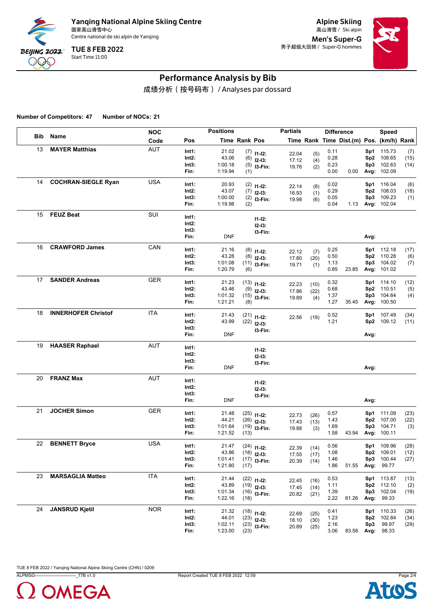

Alpine Skiing Men's Super-G 男子超级大回转 / Super-G hommes



## Performance Analysis by Bib

成绩分析(按号码布) / Analyses par dossard

**Number of Competitors: 47 Number of NOCs: 21**

|     |                            | <b>NOC</b> |          | <b>Positions</b> |               |                  | <b>Partials</b> |      | <b>Difference</b> |                                          |      | Speed       |      |
|-----|----------------------------|------------|----------|------------------|---------------|------------------|-----------------|------|-------------------|------------------------------------------|------|-------------|------|
| Bib | Name                       | Code       | Pos      |                  | Time Rank Pos |                  |                 |      |                   | Time Rank Time Dist.(m) Pos. (km/h) Rank |      |             |      |
| 13  | <b>MAYER Matthias</b>      | <b>AUT</b> | Int1:    | 21.02            |               | $(7)$ 11-12:     | 22.04           | (5)  | 0.11              |                                          |      | Sp1 115.73  | (7)  |
|     |                            |            | Int2:    | 43.06            |               | $(6)$ 12-13:     | 17.12           | (4)  | 0.28              |                                          |      | Sp2 108.65  | (15) |
|     |                            |            | Int3:    | 1:00.18          |               | $(5)$ 13-Fin:    | 19.76           | (2)  | 0.23              |                                          | Sp3  | 102.63      | (14) |
|     |                            |            | Fin:     | 1:19.94          | (1)           |                  |                 |      | 0.00              | 0.00                                     |      | Avg: 102.09 |      |
| 14  | <b>COCHRAN-SIEGLE Ryan</b> | <b>USA</b> | Int1:    | 20.93            |               | $(2)$ 11-12:     | 22.14           | (8)  | 0.02              |                                          |      | Sp1 116.04  | (6)  |
|     |                            |            | Int2:    | 43.07            |               | $(7)$ 12-13:     | 16.93           | (1)  | 0.29              |                                          | Sp2  | 108.03      | (18) |
|     |                            |            | Int3:    | 1:00.00          |               | $(2)$ 13-Fin:    | 19.98           | (6)  | 0.05              |                                          |      | Sp3 109.23  | (1)  |
|     |                            |            | Fin:     | 1:19.98          | (2)           |                  |                 |      | 0.04              | 1.13                                     |      | Avg: 102.04 |      |
| 15  | <b>FEUZ Beat</b>           | SUI        | Int1:    |                  |               | $11 - 12$ :      |                 |      |                   |                                          |      |             |      |
|     |                            |            | Int2:    |                  |               | $12 - 13:$       |                 |      |                   |                                          |      |             |      |
|     |                            |            | Int3:    |                  |               | I3-Fin:          |                 |      |                   |                                          |      |             |      |
|     |                            |            | Fin:     | <b>DNF</b>       |               |                  |                 |      |                   |                                          | Avg: |             |      |
| 16  | <b>CRAWFORD James</b>      | CAN        | Int1:    | 21.16            |               | $(8)$ 11-12:     | 22.12           | (7)  | 0.25              |                                          |      | Sp1 112.18  | (17) |
|     |                            |            | Int2:    | 43.28            |               | $(8)$ 12-13:     | 17.80           | (20) | 0.50              |                                          |      | Sp2 110.28  | (6)  |
|     |                            |            | Int3:    | 1:01.08          |               | $(11)$ 13-Fin:   | 19.71           | (1)  | 1.13              |                                          |      | Sp3 104.02  | (7)  |
|     |                            |            | Fin:     | 1:20.79          | (6)           |                  |                 |      | 0.85              | 23.85                                    |      | Avg: 101.02 |      |
| 17  | <b>SANDER Andreas</b>      | <b>GER</b> | Int1:    | 21.23            |               | $(13)$ $11-12$ : | 22.23           | (10) | 0.32              |                                          |      | Sp1 114.10  | (12) |
|     |                            |            | Int2:    | 43.46            |               | $(9)$ 12-13:     | 17.86           | (22) | 0.68              |                                          |      | Sp2 110.51  | (5)  |
|     |                            |            | Int3:    | 1:01.32          |               | $(15)$ 13-Fin:   | 19.89           | (4)  | 1.37              |                                          |      | Sp3 104.64  | (4)  |
|     |                            |            | Fin:     | 1:21.21          | (8)           |                  |                 |      | 1.27              | 35.45                                    |      | Avg: 100.50 |      |
| 18  | <b>INNERHOFER Christof</b> | ITA        | Int1:    | 21.43            |               | $(21)$ 11-12:    | 22.56           | (19) | 0.52              |                                          |      | Sp1 107.49  | (34) |
|     |                            |            | Int2:    | 43.99            |               | $(22)$ 12-13:    |                 |      | 1.21              |                                          |      | Sp2 109.12  | (11) |
|     |                            |            | Int3:    |                  |               | I3-Fin:          |                 |      |                   |                                          |      |             |      |
|     |                            |            | Fin:     | <b>DNF</b>       |               |                  |                 |      |                   |                                          | Avg: |             |      |
| 19  | <b>HAASER Raphael</b>      | <b>AUT</b> | Int1:    |                  |               | $11 - 12$ :      |                 |      |                   |                                          |      |             |      |
|     |                            |            | Int2:    |                  |               | $12 - 13:$       |                 |      |                   |                                          |      |             |      |
|     |                            |            | Int3:    |                  |               | I3-Fin:          |                 |      |                   |                                          |      |             |      |
|     |                            |            | Fin:     | <b>DNF</b>       |               |                  |                 |      |                   |                                          | Avg: |             |      |
| 20  | <b>FRANZ Max</b>           | AUT        | Int1:    |                  |               | $11 - 12$ :      |                 |      |                   |                                          |      |             |      |
|     |                            |            | Int2:    |                  |               | $12-13:$         |                 |      |                   |                                          |      |             |      |
|     |                            |            | Int3:    |                  |               | I3-Fin:          |                 |      |                   |                                          |      |             |      |
|     |                            |            | Fin:     | <b>DNF</b>       |               |                  |                 |      |                   |                                          | Avg: |             |      |
| 21  | <b>JOCHER Simon</b>        | <b>GER</b> | Int1:    | 21.48            |               | $(25)$ 11-12:    | 22.73           | (26) | 0.57              |                                          |      | Sp1 111.09  | (23) |
|     |                            |            | Int2:    | 44.21            |               | $(26)$ 12-13:    | 17.43           | (13) | 1.43              |                                          |      | Sp2 107.00  | (22) |
|     |                            |            | Int3:    | 1:01.64          |               | $(19)$ 13-Fin:   | 19.88           | (3)  | 1.69              |                                          | Sp3  | 104.71      | (3)  |
|     |                            |            | Fin:     | 1:21.52          | (13)          |                  |                 |      | 1.58              | 43.94                                    |      | Avg: 100.11 |      |
| 22  | <b>BENNETT Bryce</b>       | <b>USA</b> | Int1:    | 21.47            |               | $(24)$ 11-12:    | 22.39           | (14) | 0.56              |                                          |      | Sp1 109.96  | (28) |
|     |                            |            | $Int2$ : | 43.86            |               | $(18)$ 12-13:    | 17.55           | (17) | 1.08              |                                          |      | Sp2 109.01  | (12) |
|     |                            |            | Int3:    | 1:01.41          |               | $(17)$ 13-Fin:   | 20.39           | (14) | 1.46              |                                          |      | Sp3 100.44  | (27) |
|     |                            |            | Fin:     | 1:21.80          | (17)          |                  |                 |      | 1.86              | 51.55 Avg: 99.77                         |      |             |      |
| 23  | <b>MARSAGLIA Matteo</b>    | ITA        | Int1:    | 21.44            |               | $(22)$ 11-12:    | 22.45           | (16) | 0.53              |                                          |      | Sp1 113.87  | (13) |
|     |                            |            | Int2:    | 43.89            |               | $(19)$ 12-13:    | 17.45           | (14) | 1.11              |                                          |      | Sp2 112.10  | (2)  |
|     |                            |            | Int3:    | 1:01.34          |               | $(16)$ 13-Fin:   | 20.82           | (21) | 1.39              |                                          |      | Sp3 102.04  | (19) |
|     |                            |            | Fin:     | 1:22.16          | (18)          |                  |                 |      | 2.22              | 61.26                                    |      | Avg: 99.33  |      |
| 24  | <b>JANSRUD Kjetil</b>      | <b>NOR</b> | Int1:    | 21.32            |               | $(18)$ 11-12:    | 22.69           | (25) | 0.41              |                                          |      | Sp1 110.33  | (26) |
|     |                            |            | $Int2$ : | 44.01            |               | $(23)$ 12-13:    | 18.10           | (30) | 1.23              |                                          |      | Sp2 102.84  | (34) |
|     |                            |            | Int3:    | 1:02.11          |               | $(23)$ 13-Fin:   | 20.89           | (25) | 2.16              |                                          | Sp3  | 99.97       | (29) |
|     |                            |            | Fin:     | 1:23.00          | (23)          |                  |                 |      | 3.06              | 83.58                                    |      | Avg: 98.33  |      |

TUE 8 FEB 2022 / Yanqing National Alpine Skiing Centre (CHN) / 0209

ALPMSG----------------------------\_77B v1.0 Report Created TUE 8 FEB 2022 12:59 Page 2/4



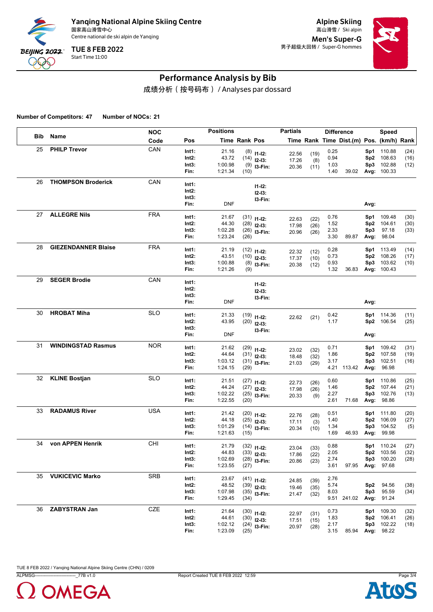

Alpine Skiing Men's Super-G 男子超级大回转 / Super-G hommes



## Performance Analysis by Bib

成绩分析(按号码布) / Analyses par dossard

**Number of Competitors: 47 Number of NOCs: 21**

|     |                            | <b>NOC</b> |       | <b>Positions</b> |               |                | <b>Partials</b> |      | <b>Difference</b> |                                          |                 | Speed       |      |
|-----|----------------------------|------------|-------|------------------|---------------|----------------|-----------------|------|-------------------|------------------------------------------|-----------------|-------------|------|
| Bib | Name                       | Code       | Pos   |                  | Time Rank Pos |                |                 |      |                   | Time Rank Time Dist.(m) Pos. (km/h) Rank |                 |             |      |
| 25  | <b>PHILP Trevor</b>        | CAN        | Int1: | 21.16            |               | $(8)$ 11-12:   | 22.56           | (19) | 0.25              |                                          |                 | Sp1 110.88  | (24) |
|     |                            |            | Int2: | 43.72            |               | $(14)$ 12-13:  | 17.26           | (8)  | 0.94              |                                          |                 | Sp2 108.63  | (16) |
|     |                            |            | Int3: | 1:00.98          |               | $(9)$ 13-Fin:  | 20.36           | (11) | 1.03              |                                          | Sp3             | 102.88      | (12) |
|     |                            |            | Fin:  | 1:21.34          | (10)          |                |                 |      | 1.40              | 39.02                                    |                 | Avg: 100.33 |      |
| 26  | <b>THOMPSON Broderick</b>  | CAN        | Int1: |                  |               | $11 - 12$ :    |                 |      |                   |                                          |                 |             |      |
|     |                            |            | Int2: |                  |               | $12-13:$       |                 |      |                   |                                          |                 |             |      |
|     |                            |            | Int3: |                  |               | I3-Fin:        |                 |      |                   |                                          |                 |             |      |
|     |                            |            | Fin:  | <b>DNF</b>       |               |                |                 |      |                   |                                          | Avg:            |             |      |
| 27  | <b>ALLEGRE Nils</b>        | <b>FRA</b> | Int1: | 21.67            |               | $(31)$ 11-12:  | 22.63           | (22) | 0.76              |                                          | Sp1             | 109.48      | (30) |
|     |                            |            | Int2: | 44.30            |               | $(28)$ 12-13:  | 17.98           | (26) | 1.52              |                                          | Sp <sub>2</sub> | 104.61      | (30) |
|     |                            |            | Int3: | 1:02.28          |               | $(26)$ 13-Fin: | 20.96           | (26) | 2.33              |                                          | Sp3             | 97.18       | (33) |
|     |                            |            | Fin:  | 1:23.24          | (26)          |                |                 |      | 3.30              | 89.87                                    | Avg:            | 98.04       |      |
| 28  | <b>GIEZENDANNER Blaise</b> | <b>FRA</b> | Int1: | 21.19            |               | $(12)$ 11-12:  | 22.32           | (12) | 0.28              |                                          | Sp1             | 113.49      | (14) |
|     |                            |            | Int2: | 43.51            |               | $(10)$ 12-13:  | 17.37           | (10) | 0.73              |                                          |                 | Sp2 108.26  | (17) |
|     |                            |            | Int3: | 1:00.88          |               | $(8)$ 13-Fin:  | 20.38           | (12) | 0.93              |                                          | Sp3             | 103.62      | (10) |
|     |                            |            | Fin:  | 1:21.26          | (9)           |                |                 |      | 1.32              | 36.83                                    |                 | Avg: 100.43 |      |
| 29  | <b>SEGER Brodie</b>        | CAN        | Int1: |                  |               | $11 - 12$ :    |                 |      |                   |                                          |                 |             |      |
|     |                            |            | Int2: |                  |               | $12-13:$       |                 |      |                   |                                          |                 |             |      |
|     |                            |            | Int3: |                  |               | I3-Fin:        |                 |      |                   |                                          |                 |             |      |
|     |                            |            | Fin:  | <b>DNF</b>       |               |                |                 |      |                   |                                          | Avg:            |             |      |
| 30  | <b>HROBAT Miha</b>         | <b>SLO</b> | Int1: | 21.33            |               | $(19)$ 11-12:  | 22.62           | (21) | 0.42              |                                          |                 | Sp1 114.36  | (11) |
|     |                            |            | Int2: | 43.95            |               | $(20)$ 12-13:  |                 |      | 1.17              |                                          |                 | Sp2 106.54  | (25) |
|     |                            |            | Int3: |                  |               | I3-Fin:        |                 |      |                   |                                          |                 |             |      |
|     |                            |            | Fin:  | <b>DNF</b>       |               |                |                 |      |                   |                                          | Avg:            |             |      |
| 31  | <b>WINDINGSTAD Rasmus</b>  | <b>NOR</b> | Int1: | 21.62            |               | $(29)$ 11-12:  | 23.02           | (32) | 0.71              |                                          | Sp1             | 109.42      | (31) |
|     |                            |            | Int2: | 44.64            |               | $(31)$ 12-13:  | 18.48           | (32) | 1.86              |                                          | Sp <sub>2</sub> | 107.58      | (19) |
|     |                            |            | Int3: | 1:03.12          |               | $(31)$ 13-Fin: | 21.03           | (29) | 3.17              |                                          | Sp3             | 102.51      | (16) |
|     |                            |            | Fin:  | 1:24.15          | (29)          |                |                 |      |                   | 4.21 113.42                              | Avg:            | 96.98       |      |
| 32  | <b>KLINE Bostjan</b>       | <b>SLO</b> | Int1: | 21.51            |               | $(27)$ 11-12:  | 22.73           | (26) | 0.60              |                                          | Sp1             | 110.86      | (25) |
|     |                            |            | Int2: | 44.24            |               | $(27)$ 12-13:  | 17.98           | (26) | 1.46              |                                          |                 | Sp2 107.44  | (21) |
|     |                            |            | Int3: | 1:02.22          |               | $(25)$ 13-Fin: | 20.33           | (9)  | 2.27              |                                          | Sp3             | 102.76      | (13) |
|     |                            |            | Fin:  | 1:22.55          | (20)          |                |                 |      | 2.61              | 71.68                                    |                 | Avg: 98.86  |      |
| 33  | <b>RADAMUS River</b>       | <b>USA</b> | Int1: | 21.42            |               | $(20)$ 11-12:  | 22.76           | (28) | 0.51              |                                          |                 | Sp1 111.80  | (20) |
|     |                            |            | Int2: | 44.18            |               | $(25)$ 12-13:  | 17.11           | (3)  | 1.40              |                                          | Sp <sub>2</sub> | 106.09      | (27) |
|     |                            |            | Int3: | 1:01.29          |               | $(14)$ 13-Fin: | 20.34           | (10) | 1.34              |                                          | Sp3             | 104.52      | (5)  |
|     |                            |            | Fin:  | 1:21.63          | (15)          |                |                 |      | 1.69              | 46.93                                    | Avg:            | 99.98       |      |
| 34  | von APPEN Henrik           | CHI        | Int1: | 21.79            |               | $(32)$ 11-12:  | 23.04           | (33) | 0.88              |                                          |                 | Sp1 110.24  | (27) |
|     |                            |            | Int2: | 44.83            |               | $(33)$ 12-13:  | 17.86           | (22) | 2.05              |                                          |                 | Sp2 103.56  | (32) |
|     |                            |            | Int3: | 1:02.69          |               | $(28)$ 13-Fin: | 20.86           | (23) | 2.74              |                                          |                 | Sp3 100.20  | (28) |
|     |                            |            | Fin:  | 1:23.55          | (27)          |                |                 |      | 3.61              | 97.95                                    |                 | Avg: 97.68  |      |
| 35  | <b>VUKICEVIC Marko</b>     | <b>SRB</b> | Int1: | 23.67            |               | $(41)$ 11-12:  | 24.85           | (39) | 2.76              |                                          |                 |             |      |
|     |                            |            | Int2: | 48.52            |               | $(39)$ 12-13:  | 19.46           | (35) | 5.74              |                                          | Sp2             | 94.56       | (38) |
|     |                            |            | Int3: | 1:07.98          |               | $(35)$ 13-Fin: | 21.47           | (32) | 8.03              |                                          | Sp3             | 95.59       | (34) |
|     |                            |            | Fin:  | 1:29.45          | (34)          |                |                 |      |                   | 9.51 241.02                              |                 | Avg: 91.24  |      |
| 36  | <b>ZABYSTRAN Jan</b>       | CZE        | Int1: | 21.64            |               | $(30)$ 11-12:  | 22.97           | (31) | 0.73              |                                          |                 | Sp1 109.30  | (32) |
|     |                            |            | Int2: | 44.61            |               | $(30)$ 12-13:  | 17.51           | (15) | 1.83              |                                          |                 | Sp2 106.41  | (26) |
|     |                            |            | Int3: | 1:02.12          |               | $(24)$ 13-Fin: | 20.97           | (28) | 2.17              |                                          |                 | Sp3 102.22  | (18) |
|     |                            |            | Fin:  | 1:23.09          | (25)          |                |                 |      | 3.15              | 85.94                                    |                 | Avg: 98.22  |      |

TUE 8 FEB 2022 / Yanqing National Alpine Skiing Centre (CHN) / 0209

ALPMSG----------------------------\_77B v1.0 Report Created TUE 8 FEB 2022 12:59 Page 3/4



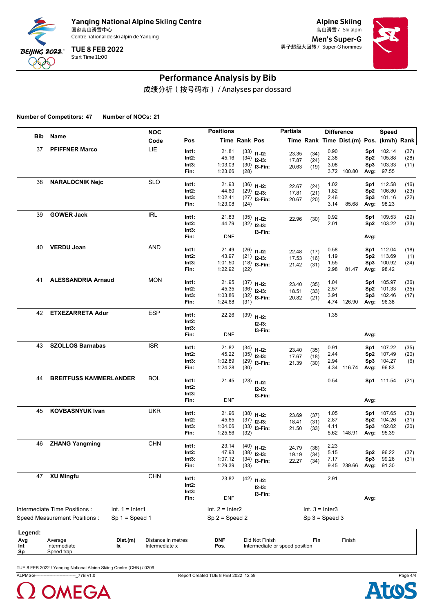

Alpine Skiing Men's Super-G 男子超级大回转 / Super-G hommes



## Performance Analysis by Bib

成绩分析(按号码布) / Analyses par dossard

**Number of Competitors: 47 Number of NOCs: 21**

|                |                               |                   | <b>NOC</b>         |          | <b>Positions</b>  |                      |                         | <b>Partials</b>                |                   |                  | <b>Difference</b>                        |                 | Speed      |      |
|----------------|-------------------------------|-------------------|--------------------|----------|-------------------|----------------------|-------------------------|--------------------------------|-------------------|------------------|------------------------------------------|-----------------|------------|------|
| <b>Bib</b>     | Name                          |                   | Code               | Pos      |                   | <b>Time Rank Pos</b> |                         |                                |                   |                  | Time Rank Time Dist.(m) Pos. (km/h) Rank |                 |            |      |
| 37             | <b>PFIFFNER Marco</b>         |                   | LIE                | Int1:    | 21.81             |                      | $(33)$ 11-12:           | 23.35                          | (34)              | 0.90             |                                          | Sp1             | 102.14     | (37) |
|                |                               |                   |                    | Int2:    | 45.16             |                      | $(34)$ 12-13:           | 17.87                          | (24)              | 2.38             |                                          | Sp <sub>2</sub> | 105.88     | (28) |
|                |                               |                   |                    | Int3:    | 1:03.03           |                      | $(30)$ 13-Fin:          | 20.63                          | (19)              | 3.08             |                                          | Sp3             | 103.33     | (11) |
|                |                               |                   |                    | Fin:     | 1:23.66           | (28)                 |                         |                                |                   |                  | 3.72 100.80                              | Avg:            | 97.55      |      |
| 38             | <b>NARALOCNIK Nejc</b>        |                   | <b>SLO</b>         | Int1:    | 21.93             |                      | $(36)$ 11-12:           |                                |                   | 1.02             |                                          | Sp1             | 112.58     | (16) |
|                |                               |                   |                    | Int2:    | 44.60             |                      | $(29)$ 12-13:           | 22.67<br>17.81                 | (24)<br>(21)      | 1.82             |                                          | Sp2             | 106.80     | (23) |
|                |                               |                   |                    | Int3:    | 1:02.41           |                      | $(27)$ 13-Fin:          | 20.67                          | (20)              | 2.46             |                                          | Sp3             | 101.16     | (22) |
|                |                               |                   |                    | Fin:     | 1:23.08           | (24)                 |                         |                                |                   | 3.14             | 85.68                                    | Avg:            | 98.23      |      |
| 39             | <b>GOWER Jack</b>             |                   | <b>IRL</b>         | Int1:    | 21.83             |                      | $(35)$ 11-12:           | 22.96                          | (30)              | 0.92             |                                          | Sp1             | 109.53     | (29) |
|                |                               |                   |                    | Int2:    | 44.79             |                      | $(32)$ 12-13:           |                                |                   | 2.01             |                                          |                 | Sp2 103.22 | (33) |
|                |                               |                   |                    | Int3:    |                   |                      | I3-Fin:                 |                                |                   |                  |                                          |                 |            |      |
|                |                               |                   |                    | Fin:     | <b>DNF</b>        |                      |                         |                                |                   |                  |                                          | Avg:            |            |      |
| 40             | <b>VERDU Joan</b>             |                   | <b>AND</b>         | Int1:    | 21.49             |                      | $(26)$ 11-12:           |                                |                   | 0.58             |                                          | Sp1             | 112.04     | (18) |
|                |                               |                   |                    | Int2:    | 43.97             |                      | $(21)$ 12-13:           | 22.48<br>17.53                 | (17)              | 1.19             |                                          | Sp2             | 113.69     | (1)  |
|                |                               |                   |                    | Int3:    | 1:01.50           |                      | $(18)$ 13-Fin:          | 21.42                          | (16)<br>(31)      | 1.55             |                                          | Sp3             | 100.92     | (24) |
|                |                               |                   |                    | Fin:     | 1:22.92           | (22)                 |                         |                                |                   | 2.98             | 81.47                                    | Avg:            | 98.42      |      |
| 41             | <b>ALESSANDRIA Arnaud</b>     |                   | <b>MON</b>         | Int1:    | 21.95             |                      | $(37)$ 11-12:           |                                |                   | 1.04             |                                          | Sp1             | 105.97     | (36) |
|                |                               |                   |                    | Int2:    | 45.35             |                      | $(36)$ 12-13:           | 23.40<br>18.51                 | (35)<br>(33)      | 2.57             |                                          | Sp <sub>2</sub> | 101.33     | (35) |
|                |                               |                   |                    | Int3:    | 1:03.86           |                      | $(32)$ 13-Fin:          | 20.82                          | (21)              | 3.91             |                                          | Sp3             | 102.46     | (17) |
|                |                               |                   |                    | Fin:     | 1:24.68           | (31)                 |                         |                                |                   |                  | 4.74 126.90                              | Avg:            | 96.38      |      |
| 42             | <b>ETXEZARRETA Adur</b>       |                   | <b>ESP</b>         | Int1:    | 22.26             | (39)                 |                         |                                |                   | 1.35             |                                          |                 |            |      |
|                |                               |                   |                    | Int2:    |                   |                      | $11 - 12$ :<br>$12-13:$ |                                |                   |                  |                                          |                 |            |      |
|                |                               |                   |                    | Int3:    |                   |                      | I3-Fin:                 |                                |                   |                  |                                          |                 |            |      |
|                |                               |                   |                    | Fin:     | <b>DNF</b>        |                      |                         |                                |                   |                  |                                          | Avg:            |            |      |
| 43             | <b>SZOLLOS Barnabas</b>       |                   | <b>ISR</b>         | Int1:    | 21.82             |                      | $(34)$ 11-12:           |                                |                   | 0.91             |                                          | Sp1             | 107.22     | (35) |
|                |                               |                   |                    | Int2:    | 45.22             |                      | $(35)$ 12-13:           | 23.40<br>17.67                 | (35)<br>(18)      | 2.44             |                                          | Sp2             | 107.49     | (20) |
|                |                               |                   |                    | Int3:    | 1:02.89           |                      | $(29)$ 13-Fin:          | 21.39                          | (30)              | 2.94             |                                          | Sp3             | 104.27     | (6)  |
|                |                               |                   |                    | Fin:     | 1:24.28           | (30)                 |                         |                                |                   |                  | 4.34 116.74                              | Avg:            | 96.83      |      |
| 44             | <b>BREITFUSS KAMMERLANDER</b> |                   | <b>BOL</b>         | Int1:    | 21.45             |                      | $(23)$ 11-12:           |                                |                   | 0.54             |                                          |                 | Sp1 111.54 | (21) |
|                |                               |                   |                    | Int2:    |                   |                      | $12-13:$                |                                |                   |                  |                                          |                 |            |      |
|                |                               |                   |                    | Int3:    |                   |                      | I3-Fin:                 |                                |                   |                  |                                          |                 |            |      |
|                |                               |                   |                    | Fin:     | <b>DNF</b>        |                      |                         |                                |                   |                  |                                          | Avg:            |            |      |
| 45             | <b>KOVBASNYUK Ivan</b>        |                   | <b>UKR</b>         | Int1:    | 21.96             |                      | $(38)$ 11-12:           | 23.69                          | (37)              | 1.05             |                                          | Sp1             | 107.65     | (33) |
|                |                               |                   |                    | Int2:    | 45.65             |                      | $(37)$ 12-13:           | 18.41                          | (31)              | 2.87             |                                          | Sp <sub>2</sub> | 104.26     | (31) |
|                |                               |                   |                    | Int3:    | 1:04.06           |                      | $(33)$ 13-Fin:          | 21.50                          | (33)              | 4.11             |                                          | Sp3             | 102.02     | (20) |
|                |                               |                   |                    | Fin:     | 1:25.56           | (32)                 |                         |                                |                   |                  | 5.62 148.91                              | Avg:            | 95.39      |      |
| 46             | <b>ZHANG Yangming</b>         |                   | <b>CHN</b>         | Int1:    | 23.14             |                      | $(40)$ 11-12:           |                                |                   | 2.23             |                                          |                 |            |      |
|                |                               |                   |                    | $Int2$ : | 47.93             |                      | $(38)$ 12-13:           | 24.79<br>19.19                 | (38)<br>(34)      | 5.15             |                                          | Sp2             | 96.22      | (37) |
|                |                               |                   |                    | Int3:    | 1:07.12           |                      | $(34)$ 13-Fin:          | 22.27                          | (34)              | 7.17             |                                          | Sp3             | 99.26      | (31) |
|                |                               |                   |                    | Fin:     | 1:29.39           | (33)                 |                         |                                |                   |                  | 9.45 239.66                              | Avg:            | 91.30      |      |
| 47             | <b>XU Mingfu</b>              |                   | <b>CHN</b>         | Int1:    | 23.82             |                      | $(42)$ 11-12:           |                                |                   | 2.91             |                                          |                 |            |      |
|                |                               |                   |                    | $Int2$ : |                   |                      | $12-13:$                |                                |                   |                  |                                          |                 |            |      |
|                |                               |                   |                    | Int3:    |                   |                      | 13-Fin:                 |                                |                   |                  |                                          |                 |            |      |
|                |                               |                   |                    | Fin:     | <b>DNF</b>        |                      |                         |                                |                   |                  |                                          | Avg:            |            |      |
|                | Intermediate Time Positions:  | $Int. 1 = Inter1$ |                    |          | Int. $2 =$ Inter2 |                      |                         |                                | Int. $3 =$ Inter3 |                  |                                          |                 |            |      |
|                | Speed Measurement Positions:  | $Sp 1 = Speed 1$  |                    |          | $Sp 2 = Speed 2$  |                      |                         |                                |                   | $Sp 3 = Speed 3$ |                                          |                 |            |      |
|                |                               |                   |                    |          |                   |                      |                         |                                |                   |                  |                                          |                 |            |      |
| Legend:<br>Avg | Average                       | Dist.(m)          | Distance in metres |          | <b>DNF</b>        |                      | Did Not Finish          |                                | Fin               |                  | Finish                                   |                 |            |      |
| Int            | Intermediate                  | lx                | Intermediate x     |          | Pos.              |                      |                         | Intermediate or speed position |                   |                  |                                          |                 |            |      |
| Sp             | Speed trap                    |                   |                    |          |                   |                      |                         |                                |                   |                  |                                          |                 |            |      |

TUE 8 FEB 2022 / Yanqing National Alpine Skiing Centre (CHN) / 0209

ALPMSG----------------------------\_77B v1.0 Report Created TUE 8 FEB 2022 12:59 Page 4/4



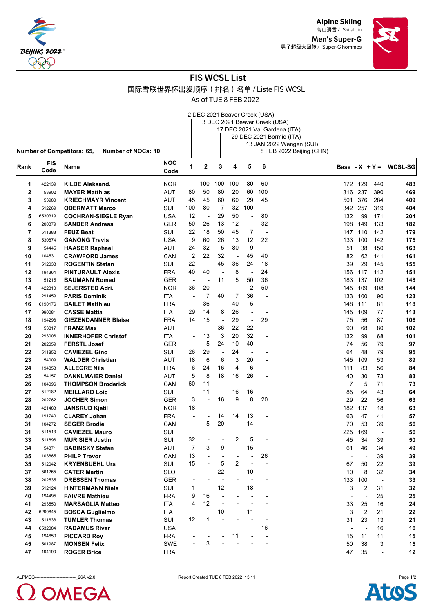



## FIS WCSL List

国际雪联世界杯出发顺序(排名)名单 / Liste FIS WCSL

As of TUE 8 FEB 2022

2 DEC 2021 Beaver Creek (USA) 3 DEC 2021 Beaver Creek (USA)

|      |            |                                                         |            |                                |                          |                          |                          |                          |                          | 17 DEC 2021 Val Gardena (ITA) |                          |                          |                          |                          |
|------|------------|---------------------------------------------------------|------------|--------------------------------|--------------------------|--------------------------|--------------------------|--------------------------|--------------------------|-------------------------------|--------------------------|--------------------------|--------------------------|--------------------------|
|      |            |                                                         |            |                                |                          |                          |                          |                          |                          | 29 DEC 2021 Bormio (ITA)      |                          |                          |                          |                          |
|      |            |                                                         |            |                                |                          |                          |                          |                          |                          | 13 JAN 2022 Wengen (SUI)      |                          |                          |                          |                          |
|      |            | Number of Competitors: 65,<br><b>Number of NOCs: 10</b> |            |                                |                          |                          |                          |                          |                          | 8 FEB 2022 Beijing (CHN)      |                          |                          |                          |                          |
|      | <b>FIS</b> |                                                         | NOC        | 1                              | $\mathbf 2$              | 3                        | 4                        | 5                        | 6                        |                               |                          |                          |                          | Base - $X + Y = WCSL-SG$ |
| Rank | Code       | <b>Name</b>                                             | Code       |                                |                          |                          |                          |                          |                          |                               |                          |                          |                          |                          |
| 1    | 422139     | <b>KILDE Aleksand.</b>                                  | <b>NOR</b> | $\overline{\phantom{a}}$       | 100                      | 100                      | 100                      | 80                       | 60                       |                               |                          | 172 129                  | 440                      | 483                      |
| 2    | 53902      | <b>MAYER Matthias</b>                                   | AUT        | 80                             | 50                       | 80                       | 20                       | 60                       | 100                      |                               | 316                      | 237                      | 390                      | 469                      |
| 3    | 53980      | <b>KRIECHMAYR Vincent</b>                               | AUT        | 45                             | 45                       | 60                       | 60                       | 29                       | 45                       |                               | 501                      | 376                      | 284                      | 409                      |
| 4    | 512269     | <b>ODERMATT Marco</b>                                   | SUI        | 100                            | 80                       | $\overline{7}$           | 32                       | 100                      | $\overline{\phantom{a}}$ |                               | 342                      | 257                      | 319                      | 404                      |
| 5    | 6530319    | <b>COCHRAN-SIEGLE Ryan</b>                              | USA        | 12                             | $\overline{\phantom{a}}$ | 29                       | 50                       | ÷,                       | 80                       |                               | 132                      | 99                       | 171                      | 204                      |
| 6    | 200379     | <b>SANDER Andreas</b>                                   | <b>GER</b> | 50                             | 26                       | 13                       | 12                       | $\overline{a}$           | 32                       |                               | 198                      | 149                      | 133                      | 182                      |
| 7    | 511383     | <b>FEUZ Beat</b>                                        | SUI        | 22                             | 18                       | 50                       | 45                       | 7                        | $\overline{\phantom{a}}$ |                               | 147                      | 110                      | 142                      | 179                      |
| 8    | 530874     | <b>GANONG Travis</b>                                    | USA        | 9                              | 60                       | 26                       | 13                       | 12                       | 22                       |                               | 133                      | 100                      | 142                      | 175                      |
| 9    | 54445      | <b>HAASER Raphael</b>                                   | AUT        | 24                             | 32                       | 5                        | 80                       | 9                        | $\overline{\phantom{a}}$ |                               | 51                       | 38                       | 150                      | 163                      |
| 10   | 104531     | <b>CRAWFORD James</b>                                   | CAN        | 2                              | 22                       | 32                       | $\overline{\phantom{a}}$ | 45                       | 40                       |                               | 82                       | 62                       | 141                      | 161                      |
| 11   | 512038     | <b>ROGENTIN Stefan</b>                                  | SUI        | 22                             | ÷                        | 45                       | 36                       | 24                       | 18                       |                               | 39                       | 29                       | 145                      | 155                      |
| 12   | 194364     | <b>PINTURAULT Alexis</b>                                | <b>FRA</b> | 40                             | 40                       | $\overline{a}$           | 8                        | ÷,                       | 24                       |                               | 156                      | 117                      | 112                      | 151                      |
| 13   | 51215      | <b>BAUMANN Romed</b>                                    | GER        | $\overline{\phantom{a}}$       | $\overline{\phantom{a}}$ | 11                       | 5                        | 50                       | 36                       |                               | 183                      | 137                      | 102                      | 148                      |
| 14   | 422310     | <b>SEJERSTED Adri.</b>                                  | <b>NOR</b> | 36                             | 20                       | ÷,                       |                          | $\overline{2}$           | 50                       |                               | 145                      | 109                      | 108                      | 144                      |
| 15   | 291459     | <b>PARIS Dominik</b>                                    | ITA        | $\overline{\phantom{a}}$       | $\overline{7}$           | 40                       | 7                        | 36                       |                          |                               | 133                      | 100                      | 90                       | 123                      |
| 16   | 6190176    | <b>BAILET Matthieu</b>                                  | <b>FRA</b> | $\overline{\phantom{a}}$       | 36                       | $\overline{\phantom{a}}$ | 40                       | 5                        | $\overline{\phantom{a}}$ |                               | 148                      | 111                      | 81                       | 118                      |
| 17   | 990081     | <b>CASSE Mattia</b>                                     | ITA        | 29                             | 14                       | 8                        | 26                       | $\overline{a}$           | $\overline{a}$           |                               | 145                      | 109                      | 77                       | 113                      |
| 18   | 194298     | <b>GIEZENDANNER Blaise</b>                              | <b>FRA</b> | 14                             | 15                       | ÷,                       | 29                       | ÷,                       | 29                       |                               | 75                       | 56                       | 87                       | 106                      |
| 19   | 53817      | <b>FRANZ Max</b>                                        | AUT        | $\overline{\phantom{a}}$       |                          | 36                       | 22                       | 22                       |                          |                               | 90                       | 68                       | 80                       | 102                      |
| 20   | 293006     | <b>INNERHOFER Christof</b>                              | ITA        | $\overline{\phantom{a}}$       | 13                       | 3                        | 20                       | 32                       |                          |                               | 132                      | 99                       | 68                       | 101                      |
| 21   | 202059     | <b>FERSTL Josef</b>                                     | <b>GER</b> | $\overline{\phantom{a}}$       | 5                        | 24                       | 10                       | 40                       |                          |                               | 74                       | 56                       | 79                       | 97                       |
| 22   | 511852     | <b>CAVIEZEL Gino</b>                                    | SUI        | 26                             | 29                       | $\overline{\phantom{a}}$ | 24                       | $\overline{a}$           |                          |                               | 64                       | 48                       | 79                       | 95                       |
| 23   | 54009      | <b>WALDER Christian</b>                                 | AUT        | 18                             | 6                        | 6                        | 3                        | 20                       |                          |                               | 145                      | 109                      | 53                       | 89                       |
| 24   | 194858     | <b>ALLEGRE Nils</b>                                     | <b>FRA</b> | 6                              | 24                       | 16                       | 4                        | 6                        |                          |                               | 111                      | 83                       | 56                       | 84                       |
| 25   | 54157      | <b>DANKLMAIER Daniel</b>                                | AUT        | 5                              | 8                        | 18                       | 16                       | 26                       | $\overline{\phantom{0}}$ |                               | 40                       | 30                       | 73                       | 83                       |
| 26   | 104096     | <b>THOMPSON Broderick</b>                               | CAN        | 60                             | 11                       | $\overline{\phantom{a}}$ |                          |                          |                          |                               | 7                        | 5                        | 71                       | 73                       |
| 27   | 512182     | <b>MEILLARD Loic</b>                                    | SUI        | $\overline{\phantom{a}}$       | 11                       | $\overline{\phantom{a}}$ | 16                       | 16                       | L,                       |                               | 85                       | 64                       | 43                       | 64                       |
| 28   | 202762     | <b>JOCHER Simon</b>                                     | GER        | 3                              | $\overline{\phantom{a}}$ | 16                       | 9                        | 8                        | 20                       |                               | 29                       | 22                       | 56                       | 63                       |
| 28   | 421483     | <b>JANSRUD Kjetil</b>                                   | <b>NOR</b> | 18                             |                          | $\overline{\phantom{a}}$ |                          | $\overline{\phantom{a}}$ |                          |                               | 182                      | 137                      | 18                       | 63                       |
| 30   | 191740     | <b>CLAREY Johan</b>                                     | <b>FRA</b> | $\overline{\phantom{a}}$       | $\overline{\phantom{0}}$ | 14                       | 14                       | 13                       |                          |                               | 63                       | 47                       | 41                       | 57                       |
| 31   | 104272     | <b>SEGER Brodie</b>                                     | CAN        | $\overline{\phantom{a}}$       | 5                        | 20                       | $\overline{a}$           | 14                       |                          |                               | 70                       | 53                       | 39                       | 56                       |
| 31   | 511513     | <b>CAVIEZEL Mauro</b>                                   | SUI        | $\overline{\phantom{a}}$       | ÷                        |                          |                          |                          |                          |                               | 225                      | 169                      | $\overline{\phantom{a}}$ | 56                       |
| 33   | 511896     | <b>MURISIER Justin</b>                                  | SUI        | 32                             |                          | $\overline{\phantom{a}}$ | 2                        | 5                        |                          |                               | 45                       | 34                       | 39                       | 50                       |
| 34   | 54371      | <b>BABINSKY Stefan</b>                                  | AUT        | 7                              | 3                        | 9                        |                          | 15                       |                          |                               | 61                       | 46                       | 34                       | 49                       |
| 35   | 103865     | <b>PHILP Trevor</b>                                     | CAN        | 13                             |                          |                          |                          |                          | 26                       |                               | $\blacksquare$           | $\overline{\phantom{a}}$ | 39                       |                          |
| 35   | 512042     | <b>KRYENBUEHL Urs</b>                                   | SUI        | 15                             |                          | 5                        | 2                        |                          |                          |                               | 67                       | 50                       | 22                       | 39<br>39                 |
| 37   | 561255     | <b>CATER Martin</b>                                     | <b>SLO</b> | ٠                              |                          | 22                       | $\overline{a}$           | 10                       |                          |                               | 10                       | 8                        | 32                       | 34                       |
| 38   | 202535     | <b>DRESSEN Thomas</b>                                   | <b>GER</b> |                                |                          | $\overline{a}$           |                          |                          |                          |                               | 133                      | 100                      |                          | 33                       |
| 39   | 512124     | <b>HINTERMANN Niels</b>                                 | SUI        | 1                              | $\overline{\phantom{a}}$ | 12                       |                          | 18                       |                          |                               | 3                        | 2                        | $\blacksquare$<br>31     | 32                       |
| 40   | 194495     | <b>FAIVRE Mathieu</b>                                   | <b>FRA</b> | 9                              | 16                       | $\overline{a}$           |                          |                          |                          |                               |                          | ÷,                       | 25                       |                          |
| 41   | 293550     | <b>MARSAGLIA Matteo</b>                                 | <b>ITA</b> | 4                              | 12                       |                          |                          |                          |                          |                               | $\overline{a}$<br>33     | 25                       | 16                       | 25<br>24                 |
| 42   | 6290845    |                                                         |            |                                |                          | 10                       |                          | 11                       |                          |                               | 3                        | $\overline{2}$           |                          |                          |
| 43   | 511638     | <b>BOSCA Guglielmo</b><br><b>TUMLER Thomas</b>          | ITA<br>SUI | $\overline{\phantom{a}}$<br>12 | 1                        |                          |                          |                          |                          |                               | 31                       | 23                       | 21<br>13                 | 22<br>21                 |
| 44   |            |                                                         |            | ÷,                             |                          |                          |                          |                          | 16                       |                               |                          |                          |                          |                          |
|      | 6532084    | <b>RADAMUS River</b>                                    | <b>USA</b> |                                |                          |                          | 11                       |                          |                          |                               | $\overline{\phantom{a}}$ |                          | 16                       | 16                       |
| 45   | 194650     | <b>PICCARD Roy</b><br><b>MONSEN Felix</b>               | <b>FRA</b> |                                | 3                        |                          |                          |                          |                          |                               | 15                       | 11                       | 11                       | 15                       |
| 45   | 501987     |                                                         | <b>SWE</b> |                                |                          |                          |                          |                          |                          |                               | 50                       | 38                       | 3                        | 15                       |
| 47   | 194190     | <b>ROGER Brice</b>                                      | <b>FRA</b> |                                |                          |                          |                          |                          |                          |                               | 47                       | 35                       | $\overline{\phantom{a}}$ | 12                       |



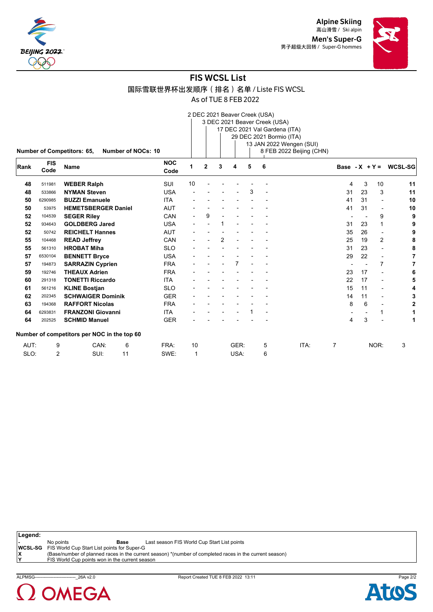



#### FIS WCSL List

国际雪联世界杯出发顺序(排名)名单 / Liste FIS WCSL

As of TUE 8 FEB 2022

8 FEB 2022 Beijing (CHN)

| Number of NOCs: 10<br><b>Number of Competitors: 65,</b> |
|---------------------------------------------------------|
|---------------------------------------------------------|

| Rank | <b>FIS</b><br>Code | <b>Name</b>                                 |    | <b>NOC</b><br>Code |    | $\overline{2}$ | 3 | 4    | 5 | 6 |      |    | Base - $X + Y =$ |                          | <b>WCSL-SG</b> |
|------|--------------------|---------------------------------------------|----|--------------------|----|----------------|---|------|---|---|------|----|------------------|--------------------------|----------------|
| 48   | 511981             | <b>WEBER Ralph</b>                          |    | SUI                | 10 |                |   |      |   |   |      | 4  | 3                | 10                       | 11             |
| 48   | 533866             | <b>NYMAN Steven</b>                         |    | <b>USA</b>         |    |                |   |      | 3 |   |      | 31 | 23               | 3                        | 11             |
| 50   | 6290985            | <b>BUZZI Emanuele</b>                       |    | <b>ITA</b>         |    |                |   |      |   |   |      | 41 | 31               | $\blacksquare$           | 10             |
| 50   | 53975              | <b>HEMETSBERGER Daniel</b>                  |    | <b>AUT</b>         |    |                |   |      |   |   |      | 41 | 31               | $\overline{\phantom{a}}$ | 10             |
| 52   | 104539             | <b>SEGER Riley</b>                          |    | CAN                |    | 9              |   |      |   |   |      |    |                  | 9                        | 9              |
| 52   | 934643             | <b>GOLDBERG Jared</b>                       |    | <b>USA</b>         |    |                |   |      |   |   |      | 31 | 23               | 1                        | 9              |
| 52   | 50742              | <b>REICHELT Hannes</b>                      |    | <b>AUT</b>         |    |                |   |      |   |   |      | 35 | 26               | $\overline{\phantom{a}}$ | 9              |
| 55   | 104468             | <b>READ Jeffrey</b>                         |    | CAN                |    |                | 2 |      |   |   |      | 25 | 19               | $\overline{2}$           | 8              |
| 55   | 561310             | <b>HROBAT Miha</b>                          |    | <b>SLO</b>         |    |                |   |      |   |   |      | 31 | 23               | $\overline{\phantom{a}}$ | 8              |
| 57   | 6530104            | <b>BENNETT Bryce</b>                        |    | <b>USA</b>         |    |                |   |      |   |   |      | 29 | 22               | $\overline{\phantom{a}}$ |                |
| 57   | 194873             | <b>SARRAZIN Cyprien</b>                     |    | <b>FRA</b>         |    |                |   | 7    |   |   |      |    |                  | $\overline{7}$           |                |
| 59   | 192746             | <b>THEAUX Adrien</b>                        |    | <b>FRA</b>         |    |                |   |      |   |   |      | 23 | 17               | $\blacksquare$           |                |
| 60   | 291318             | <b>TONETTI Riccardo</b>                     |    | <b>ITA</b>         |    |                |   |      |   |   |      | 22 | 17               | $\overline{\phantom{a}}$ |                |
| 61   | 561216             | <b>KLINE Bostjan</b>                        |    | <b>SLO</b>         |    |                |   |      |   |   |      | 15 | 11               | $\blacksquare$           | Δ              |
| 62   | 202345             | <b>SCHWAIGER Dominik</b>                    |    | <b>GER</b>         |    |                |   |      |   |   |      | 14 | 11               | $\blacksquare$           |                |
| 63   | 194368             | <b>RAFFORT Nicolas</b>                      |    | <b>FRA</b>         |    |                |   |      |   |   |      | 8  | 6                | $\blacksquare$           |                |
| 64   | 6293831            | <b>FRANZONI Giovanni</b>                    |    | <b>ITA</b>         |    |                |   |      |   |   |      |    |                  | 1                        |                |
| 64   | 202525             | <b>SCHMID Manuel</b>                        |    | <b>GER</b>         |    |                |   |      |   |   |      | 4  | 3                |                          |                |
|      |                    | Number of competitors per NOC in the top 60 |    |                    |    |                |   |      |   |   |      |    |                  |                          |                |
| AUT: | 9                  | CAN:                                        | 6  | FRA:               | 10 |                |   | GER: |   | 5 | ITA: | 7  |                  | NOR:                     | 3              |
| SLO: | 2                  | SUI:                                        | 11 | SWE:               | 1  |                |   | USA: |   | 6 |      |    |                  |                          |                |

**Legend: -** No points **Base** Last season FIS World Cup Start List points **WCSL-SG** FIS World Cup Start List points for Super-G<br> **X** (Base/number of planned races in the currer<br> **Y** FIS World Cup points won in the current sea **X** (Base/number of planned races in the current season) \*(number of completed races in the current season) **Y** FIS World Cup points won in the current season



ALPMSG----------------------------\_26A v2.0 Report Created TUE 8 FEB 2022 13:11 Page 2/2

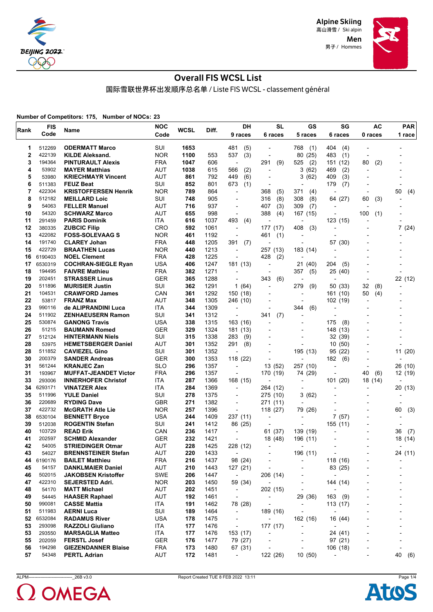

> Men 男子 / Hommes



## Overall FIS WCSL List

国际雪联世界杯出发顺序总名单 / Liste FIS WCSL - classement général

**Number of Competitors: 175, Number of NOCs: 23**

| Rank | <b>FIS</b> | Name                         | <b>NOC</b> | <b>WCSL</b> | Diff. | DH                                  | <b>SL</b>                | GS                       | SG                                   | AC                       | <b>PAR</b>               |
|------|------------|------------------------------|------------|-------------|-------|-------------------------------------|--------------------------|--------------------------|--------------------------------------|--------------------------|--------------------------|
|      | Code       |                              | Code       |             |       | 9 races                             | 6 races                  | 5 races                  | 6 races                              | 0 races                  | 1 race                   |
| 1    | 512269     | <b>ODERMATT Marco</b>        | SUI        | 1653        |       | 481<br>(5)                          | ٠                        | 768<br>(1)               | 404<br>(4)                           |                          |                          |
| 2    | 422139     | <b>KILDE Aleksand.</b>       | <b>NOR</b> | 1100        | 553   | 537<br>(3)                          |                          | 80 (25)                  | 483<br>(1)                           | $\overline{a}$           |                          |
| 3    | 194364     | <b>PINTURAULT Alexis</b>     | <b>FRA</b> | 1047        | 606   | $\overline{\phantom{a}}$            | 291<br>(9)               | 525<br>(2)               | 151 (12)                             | 80<br>(2)                |                          |
| 4    | 53902      | <b>MAYER Matthias</b>        | AUT        | 1038        | 615   | 566<br>(2)                          | ٠                        | 3(62)                    | 469<br>(2)                           | $\overline{a}$           |                          |
| 5    | 53980      | <b>KRIECHMAYR Vincent</b>    | AUT        | 861         | 792   | 449<br>(6)                          | ۰                        | 3<br>(62)                | 409<br>(3)                           |                          |                          |
| 6    | 511383     | <b>FEUZ Beat</b>             | SUI        | 852         | 801   | (1)<br>673                          | $\overline{\phantom{a}}$ |                          | (7)<br>179                           |                          |                          |
| 7    | 422304     | <b>KRISTOFFERSEN Henrik</b>  | <b>NOR</b> | 789         | 864   | ÷,                                  | 368<br>(5)               | 371<br>(4)               |                                      |                          | 50<br>(4)                |
| 8    | 512182     | <b>MEILLARD Loic</b>         | SUI        | 748         | 905   | $\overline{\phantom{a}}$            | (8)<br>316               | 308<br>(8)               | 64 (27)                              | 60<br>(3)                |                          |
| 9    | 54063      | <b>FELLER Manuel</b>         | AUT        | 716         | 937   | $\overline{\phantom{a}}$            | 407<br>(3)               | (7)<br>309               |                                      |                          |                          |
| 10   | 54320      | <b>SCHWARZ Marco</b>         | AUT        | 655         | 998   | ÷,                                  | 388<br>(4)               | 167 (15)                 | ٠                                    | 100<br>(1)               |                          |
| 11   | 291459     | <b>PARIS Dominik</b>         | ITA        | 616         | 1037  | 493<br>(4)                          | $\overline{a}$           |                          | 123 (15)                             |                          |                          |
| 12   | 380335     | <b>ZUBCIC Filip</b>          | <b>CRO</b> | 592         | 1061  | $\overline{\phantom{a}}$            | 177 (17)                 | 408<br>(3)               | $\overline{a}$                       |                          | 7(24)                    |
| 13   | 422082     | <b>FOSS-SOLEVAAG S</b>       | <b>NOR</b> | 461         | 1192  | ÷,                                  | 461<br>(1)               |                          |                                      |                          |                          |
| 14   | 191740     | <b>CLAREY Johan</b>          | <b>FRA</b> | 448         | 1205  | 391<br>(7)                          |                          | $\overline{\phantom{a}}$ | 57 (30)                              |                          |                          |
| 15   | 422729     | <b>BRAATHEN Lucas</b>        | <b>NOR</b> | 440         | 1213  | ÷,                                  | 257 (13)                 | 183 (14)                 |                                      |                          |                          |
| 16   | 6190403    | <b>NOEL Clement</b>          | <b>FRA</b> | 428         | 1225  | ÷,                                  | 428<br>(2)               | $\overline{a}$           | $\overline{a}$                       |                          |                          |
| 17   | 6530319    | <b>COCHRAN-SIEGLE Ryan</b>   | USA        | 406         | 1247  | 181 (13)                            | $\overline{\phantom{a}}$ | 21 (40)                  | 204<br>(5)                           |                          |                          |
| 18   | 194495     | <b>FAIVRE Mathieu</b>        | <b>FRA</b> | 382         | 1271  | $\overline{\phantom{a}}$            | $\blacksquare$           | 357<br>(5)               | 25 (40)                              |                          |                          |
| 19   | 202451     | <b>STRASSER Linus</b>        | GER        | 365         | 1288  | $\overline{\phantom{a}}$            | 343<br>(6)               |                          |                                      | $\overline{\phantom{a}}$ | 22 (12)                  |
| 20   | 511896     | <b>MURISIER Justin</b>       | SUI        | 362         | 1291  | 1(64)                               | $\blacksquare$           | 279<br>(9)               | 50 (33)                              | 32<br>(8)                |                          |
| 21   | 104531     | <b>CRAWFORD James</b>        | CAN        | 361         | 1292  | 150 (18)                            |                          |                          | 161 (10)                             | 50<br>(4)                |                          |
| 22   | 53817      | <b>FRANZ Max</b>             | AUT        | 348         | 1305  | 246 (10)                            |                          |                          | 102 (19)                             | $\overline{a}$           |                          |
| 23   | 990116     | de ALIPRANDINI Luca          | ITA        | 344         | 1309  | $\overline{\phantom{a}}$            | $\overline{\phantom{0}}$ | 344<br>(6)               | -                                    |                          |                          |
| 24   | 511902     | ZENHAEUSERN Ramon            | SUI        | 341         | 1312  | $\overline{a}$                      | 341<br>(7)               |                          |                                      |                          |                          |
| 25   | 530874     | <b>GANONG Travis</b>         | USA        | 338         | 1315  | 163 (16)                            | ٠                        |                          | 175<br>(8)                           |                          |                          |
| 26   | 51215      | <b>BAUMANN Romed</b>         | GER        | 329         | 1324  | 181 (13)                            | $\overline{a}$           |                          | 148 (13)                             |                          |                          |
| 27   | 512124     | <b>HINTERMANN Niels</b>      | SUI        | 315         | 1338  | 283<br>(9)                          |                          |                          | 32 (39)                              |                          |                          |
| 28   | 53975      | <b>HEMETSBERGER Daniel</b>   | AUT        | 301         | 1352  | 291<br>(8)                          | $\overline{\phantom{0}}$ |                          | 10(50)                               |                          |                          |
| 28   | 511852     | <b>CAVIEZEL Gino</b>         | SUI        | 301         | 1352  | $\overline{\phantom{a}}$            | $\overline{\phantom{a}}$ | 195 (13)                 | (22)<br>95                           |                          | 11 (20)                  |
| 30   | 200379     | <b>SANDER Andreas</b>        | GER        | 300         | 1353  | 118 (22)                            | $\blacksquare$           |                          | 182<br>(6)                           |                          |                          |
| 31   | 561244     | <b>KRANJEC Zan</b>           | SLO        | 296         | 1357  | $\overline{\phantom{a}}$            | 13 (52)                  | 257 (10)                 | ٠                                    | $\blacksquare$           | 26 (10)                  |
| 31   | 193967     | <b>MUFFAT-JEANDET Victor</b> | <b>FRA</b> | 296         | 1357  | $\overline{a}$                      | 170 (19)                 | 74 (29)                  |                                      | 40<br>(6)                | 12 (19)                  |
| 33   | 293006     | <b>INNERHOFER Christof</b>   | ITA        | 287         | 1366  | 168 (15)                            | $\blacksquare$           | $\overline{\phantom{a}}$ | 101 (20)                             | 18 (14)                  |                          |
| 34   | 6293171    | <b>VINATZER Alex</b>         | ITA        | 284         | 1369  | $\overline{\phantom{a}}$            | 264 (12)                 |                          | ٠                                    |                          | 20 (13)                  |
| 35   | 511996     | <b>YULE Daniel</b>           | SUI        | 278         | 1375  | ٠                                   | 275 (10)                 | 3(62)                    |                                      |                          |                          |
| 36   | 220689     | <b>RYDING Dave</b>           | <b>GBR</b> | 271         | 1382  | $\overline{\phantom{a}}$            | 271 (11)                 |                          |                                      |                          |                          |
| 37   | 422732     | <b>McGRATH Atle Lie</b>      | <b>NOR</b> | 257         | 1396  | $\overline{\phantom{a}}$            | 118(27)                  | 79 (26)                  | $\overline{a}$                       |                          | (3)<br>60                |
| 38   | 6530104    | <b>BENNETT Bryce</b>         | USA        | 244         | 1409  | 237 (11)                            | -                        |                          | 7(57)                                |                          |                          |
| 39   | 512038     | <b>ROGENTIN Stefan</b>       | SUI        | 241         | 1412  | 86 (25)                             | $\overline{\phantom{a}}$ |                          | 155 (11)                             |                          |                          |
| 40   | 103729     | <b>READ Erik</b>             | CAN        | 236         | 1417  | ÷,                                  | 61 (37)                  | 139 (19)                 | ٠                                    |                          | 36<br>(7)                |
| 41   | 202597     | <b>SCHMID Alexander</b>      | GER        | 232         | 1421  | $\overline{a}$                      | 18 (48)                  | 196 (11)                 |                                      |                          | 18 (14)                  |
| 42   | 54005      | <b>STRIEDINGER Otmar</b>     | <b>AUT</b> | 228         | 1425  | 228 (12)                            | $\blacksquare$           |                          |                                      |                          | $\blacksquare$           |
| 43   | 54027      | <b>BRENNSTEINER Stefan</b>   | AUT        | 220         | 1433  | $\blacksquare$                      | $\overline{\phantom{a}}$ | 196 (11)                 | $\overline{\phantom{0}}$             | $\overline{\phantom{a}}$ | 24 (11)                  |
| 44   | 6190176    | <b>BAILET Matthieu</b>       | <b>FRA</b> | 216         | 1437  | 98 (24)                             | $\overline{a}$           | $\overline{a}$           | 118 (16)                             |                          |                          |
| 45   | 54157      | <b>DANKLMAIER Daniel</b>     | AUT        | 210         | 1443  | 127 (21)                            | $\overline{\phantom{a}}$ |                          | 83 (25)                              |                          |                          |
| 46   | 502015     | <b>JAKOBSEN Kristoffer</b>   | <b>SWE</b> | 206         | 1447  | $\overline{\phantom{a}}$            | 206 (14)                 | -                        | -                                    |                          |                          |
| 47   | 422310     | SEJERSTED Adri.              | <b>NOR</b> | 203         | 1450  | 59 (34)                             |                          | $\overline{\phantom{a}}$ | 144 (14)                             |                          |                          |
| 48   | 54170      | <b>MATT Michael</b>          | AUT        | 202         | 1451  | $\overline{\phantom{a}}$            | 202 (15)                 | $\overline{a}$           | L,                                   |                          |                          |
| 49   | 54445      | <b>HAASER Raphael</b>        | AUT        | 192         | 1461  | $\overline{\phantom{a}}$            | $\overline{\phantom{a}}$ | 29 (36)                  | 163<br>(9)                           |                          |                          |
| 50   | 990081     | <b>CASSE Mattia</b>          | <b>ITA</b> | 191         | 1462  | 78 (28)                             | $\overline{\phantom{a}}$ | $\overline{\phantom{a}}$ | 113 (17)                             |                          |                          |
| 51   | 511983     | <b>AERNI Luca</b>            | SUI        | 189         | 1464  | $\overline{\phantom{a}}$            | 189 (16)                 |                          | $\overline{a}$                       |                          |                          |
| 52   | 6532084    | <b>RADAMUS River</b>         | <b>USA</b> | 178         | 1475  | $\overline{\phantom{a}}$            | $\overline{\phantom{a}}$ | 162 (16)                 | 16 (44)                              |                          | ٠                        |
| 53   | 293098     | <b>RAZZOLI Giuliano</b>      | <b>ITA</b> | 177         | 1476  | $\overline{\phantom{a}}$            | 177 (17)                 | $\overline{\phantom{a}}$ |                                      |                          |                          |
| 53   | 293550     | <b>MARSAGLIA Matteo</b>      | ITA        | 177         | 1476  | 153 (17)                            | $\overline{\phantom{a}}$ |                          | 24 (41)                              |                          | $\overline{\phantom{0}}$ |
| 55   | 202059     | <b>FERSTL Josef</b>          | GER        | 176         | 1477  | 79 (27)                             | ۰                        |                          | 97(21)                               | $\overline{\phantom{a}}$ | $\overline{a}$           |
| 56   | 194298     | <b>GIEZENDANNER Blaise</b>   | <b>FRA</b> | 173         | 1480  |                                     | -                        | $\overline{a}$           |                                      |                          |                          |
| 57   | 54348      | <b>PERTL Adrian</b>          | AUT        | 172         | 1481  | 67 (31)<br>$\overline{\phantom{a}}$ | 122 (26)                 | 10(50)                   | 106 (18)<br>$\overline{\phantom{a}}$ | $\overline{\phantom{a}}$ | 40<br>(6)                |
|      |            |                              |            |             |       |                                     |                          |                          |                                      |                          |                          |



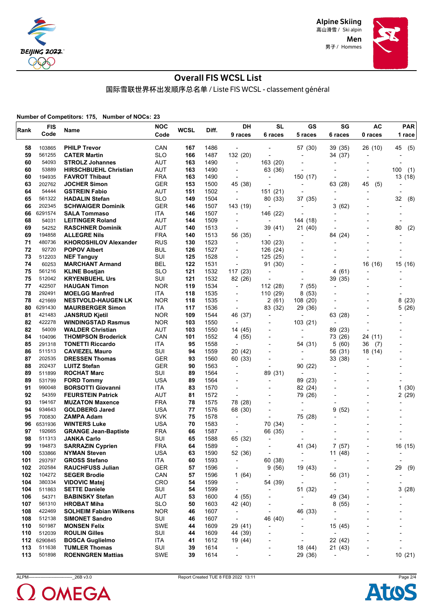

> Men 男子 / Hommes



## Overall FIS WCSL List

国际雪联世界杯出发顺序总名单 / Liste FIS WCSL - classement général

**Number of Competitors: 175, Number of NOCs: 23**

| Rank | <b>FIS</b> | Name                          | <b>NOC</b> | <b>WCSL</b> | Diff. | DH                       | <b>SL</b>                | GS                           | SG                       | <b>AC</b>                | <b>PAR</b>               |
|------|------------|-------------------------------|------------|-------------|-------|--------------------------|--------------------------|------------------------------|--------------------------|--------------------------|--------------------------|
|      | Code       |                               | Code       |             |       | 9 races                  | 6 races                  | 5 races                      | 6 races                  | 0 races                  | 1 race                   |
| 58   | 103865     | <b>PHILP Trevor</b>           | CAN        | 167         | 1486  | $\overline{\phantom{a}}$ |                          | 57 (30)                      | 39 (35)                  | 26 (10)                  | (5)<br>45                |
| 59   | 561255     | <b>CATER Martin</b>           | <b>SLO</b> | 166         | 1487  | 132 (20)                 |                          | $\overline{a}$               | 34 (37)                  |                          |                          |
| 60   | 54093      | <b>STROLZ Johannes</b>        | <b>AUT</b> | 163         | 1490  | $\overline{\phantom{a}}$ | 163 (20)                 |                              | $\overline{a}$           |                          |                          |
| 60   | 53889      | <b>HIRSCHBUEHL Christian</b>  | AUT        | 163         | 1490  | $\overline{\phantom{a}}$ | 63 (36)                  | $\overline{a}$               | $\overline{a}$           |                          | 100<br>(1)               |
| 60   | 194935     | <b>FAVROT Thibaut</b>         | <b>FRA</b> | 163         | 1490  | $\blacksquare$           | $\blacksquare$           | 150 (17)                     |                          | $\overline{\phantom{a}}$ | 13 (18)                  |
| 63   | 202762     | <b>JOCHER Simon</b>           | <b>GER</b> | 153         | 1500  | 45 (38)                  |                          | $\overline{\phantom{a}}$     | 63 (28)                  | 45<br>(5)                |                          |
| 64   | 54444      | <b>GSTREIN Fabio</b>          | AUT        | 151         | 1502  | $\overline{\phantom{a}}$ | 151 (21)                 | $\overline{\phantom{a}}$     |                          |                          |                          |
| 65   | 561322     | <b>HADALIN Stefan</b>         | <b>SLO</b> | 149         | 1504  | $\overline{a}$           | 80 (33)                  | 37 (35)                      |                          |                          | 32<br>(8)                |
| 66   | 202345     | <b>SCHWAIGER Dominik</b>      | <b>GER</b> | 146         | 1507  | 143 (19)                 | $\overline{a}$           | $\overline{\phantom{a}}$     | 3(62)                    |                          |                          |
| 66   | 6291574    | <b>SALA Tommaso</b>           | ITA        | 146         | 1507  | $\overline{\phantom{a}}$ | 146 (22)                 | ٠                            | $\overline{\phantom{a}}$ |                          |                          |
| 68   | 54031      | <b>LEITINGER Roland</b>       | <b>AUT</b> | 144         | 1509  | $\blacksquare$           | $\blacksquare$           | 144 (18)                     |                          |                          |                          |
| 69   | 54252      | <b>RASCHNER Dominik</b>       | AUT        | 140         | 1513  | $\overline{\phantom{a}}$ | 39 (41)                  | 21 (40)                      |                          |                          | 80<br>(2)                |
| 69   | 194858     | <b>ALLEGRE Nils</b>           | <b>FRA</b> | 140         | 1513  | 56 (35)                  | $\overline{\phantom{0}}$ | $\overline{\phantom{a}}$     | 84 (24)                  |                          |                          |
| 71   | 480736     | <b>KHOROSHILOV Alexander</b>  | <b>RUS</b> | 130         | 1523  | $\overline{\phantom{a}}$ | 130 (23)                 | $\blacksquare$               |                          |                          |                          |
| 72   | 92720      | <b>POPOV Albert</b>           | <b>BUL</b> | 126         | 1527  | $\blacksquare$           | 126 (24)                 |                              |                          |                          |                          |
| 73   | 512203     | <b>NEF Tanguy</b>             | SUI        | 125         | 1528  | $\overline{\phantom{a}}$ | 125 (25)                 |                              |                          |                          |                          |
| 74   | 60253      | <b>MARCHANT Armand</b>        | <b>BEL</b> | 122         | 1531  |                          | 91 (30)                  |                              |                          | 16 (16)                  | 15 (16)                  |
| 75   | 561216     | <b>KLINE Bostjan</b>          | <b>SLO</b> | 121         | 1532  | 117 (23)                 | $\overline{a}$           | $\overline{a}$               | 4 (61)                   | $\overline{\phantom{0}}$ |                          |
| 75   | 512042     | <b>KRYENBUEHL Urs</b>         | SUI        | 121         | 1532  | 82 (26)                  | $\blacksquare$           |                              | 39 (35)                  |                          |                          |
| 77   | 422507     | <b>HAUGAN Timon</b>           | <b>NOR</b> | 119         | 1534  | $\overline{\phantom{a}}$ | 112 (28)                 | 7(55)                        |                          |                          |                          |
| 78   | 292491     | <b>MOELGG Manfred</b>         | ITA        | 118         | 1535  | $\blacksquare$           | 110 (29)                 | 8(53)                        |                          |                          |                          |
| 78   | 421669     | <b>NESTVOLD-HAUGEN LK</b>     | <b>NOR</b> | 118         | 1535  | $\overline{\phantom{a}}$ | 2(61)                    | 108 (20)                     | $\overline{\phantom{0}}$ |                          | 8<br>(23)                |
| 80   | 6291430    | <b>MAURBERGER Simon</b>       | <b>ITA</b> | 117         | 1536  | $\overline{\phantom{a}}$ | 83 (32)                  | 29 (36)                      |                          |                          | 5(26)                    |
| 81   | 421483     | <b>JANSRUD Kjetil</b>         | <b>NOR</b> | 109         | 1544  | 46 (37)                  | $\overline{\phantom{a}}$ | $\overline{\phantom{a}}$     | 63 (28)                  |                          |                          |
| 82   | 422278     | <b>WINDINGSTAD Rasmus</b>     | <b>NOR</b> | 103         | 1550  | $\overline{\phantom{a}}$ | $\blacksquare$           | 103 (21)                     | $\overline{\phantom{a}}$ |                          |                          |
| 82   | 54009      | <b>WALDER Christian</b>       | AUT        | 103         | 1550  | 14 (45)                  |                          |                              | 89 (23)                  |                          |                          |
| 84   | 104096     | <b>THOMPSON Broderick</b>     | CAN        | 101         | 1552  | 4 (55)                   |                          |                              | 73 (26)                  | 24 (11)                  |                          |
| 85   | 291318     | <b>TONETTI Riccardo</b>       | ITA        | 95          | 1558  | $\overline{\phantom{a}}$ | $\overline{\phantom{a}}$ | 54 (31)                      | 5(60)                    | 36<br>(7)                |                          |
| 86   | 511513     | <b>CAVIEZEL Mauro</b>         | SUI        | 94          | 1559  | 20 (42)                  |                          | $\overline{\phantom{a}}$     | 56 (31)                  | 18 (14)                  |                          |
| 87   | 202535     | <b>DRESSEN Thomas</b>         | <b>GER</b> | 93          | 1560  | 60 (33)                  |                          |                              | 33 (38)                  | $\blacksquare$           |                          |
| 88   | 202437     | <b>LUITZ Stefan</b>           | <b>GER</b> | 90          | 1563  | $\overline{\phantom{a}}$ | $\blacksquare$           | 90 (22)                      | $\overline{\phantom{a}}$ |                          |                          |
| 89   | 511899     | <b>ROCHAT Marc</b>            | SUI        | 89          | 1564  |                          | 89 (31)                  |                              |                          |                          |                          |
| 89   | 531799     | <b>FORD Tommy</b>             | <b>USA</b> | 89          | 1564  |                          | $\overline{\phantom{a}}$ | 89 (23)                      |                          |                          |                          |
| 91   | 990048     | <b>BORSOTTI Giovanni</b>      | ITA        | 83          | 1570  | $\overline{a}$           |                          | 82 (24)                      |                          |                          | 1(30)                    |
| 92   | 54359      | <b>FEURSTEIN Patrick</b>      | <b>AUT</b> | 81          | 1572  | $\blacksquare$           | $\overline{\phantom{0}}$ | 79 (26)                      |                          |                          | 2(29)                    |
| 93   | 194167     | <b>MUZATON Maxence</b>        | <b>FRA</b> | 78          | 1575  | 78 (28)                  |                          | $\overline{\phantom{a}}$     |                          |                          |                          |
| 94   | 934643     | <b>GOLDBERG Jared</b>         | <b>USA</b> | 77          | 1576  | 68 (30)                  |                          | $\overline{a}$               | 9<br>(52)                |                          |                          |
| 95   | 700830     | ZAMPA Adam                    | <b>SVK</b> | 75          | 1578  | $\overline{\phantom{a}}$ | $\overline{\phantom{a}}$ | 75 (28)                      |                          |                          |                          |
| 96   | 6531936    | <b>WINTERS Luke</b>           | <b>USA</b> | 70          | 1583  |                          | 70 (34)                  | $\overline{\phantom{a}}$     |                          |                          |                          |
| 97   | 192665     | <b>GRANGE Jean-Baptiste</b>   | <b>FRA</b> | 66          | 1587  | $\overline{\phantom{a}}$ | 66 (35)                  |                              |                          |                          |                          |
| 98   | 511313     | <b>JANKA Carlo</b>            | SUI        | 65          | 1588  | 65 (32)                  | $\overline{\phantom{a}}$ | $\overline{a}$               |                          |                          |                          |
| 99   | 194873     | <b>SARRAZIN Cyprien</b>       | <b>FRA</b> | 64          | 1589  | $\overline{\phantom{a}}$ |                          | 41 (34)                      | 7(57)                    |                          | 16(15)                   |
| 100  | 533866     | <b>NYMAN Steven</b>           | <b>USA</b> | 63          | 1590  | 52 (36)                  | $\overline{a}$           | $\overline{\phantom{a}}$     | 11 (48)                  |                          |                          |
| 101  | 293797     | <b>GROSS Stefano</b>          | ITA        | 60          | 1593  | $\overline{\phantom{a}}$ | 60 (38)                  | $\overline{\phantom{a}}$     |                          |                          | $\overline{\phantom{a}}$ |
| 102  | 202584     | <b>RAUCHFUSS Julian</b>       | <b>GER</b> | 57          | 1596  | $\overline{\phantom{a}}$ | 9(56)                    | 19 (43)                      |                          |                          | 29<br>(9)                |
| 102  | 104272     | <b>SEGER Brodie</b>           | CAN        | 57          | 1596  | 1 $(64)$                 | $\overline{a}$           | $\overline{\phantom{a}}$     | 56 (31)                  |                          |                          |
| 104  | 380334     | <b>VIDOVIC Matej</b>          | CRO        | 54          | 1599  | $\overline{\phantom{a}}$ | 54 (39)                  | $\overline{\phantom{a}}$     |                          |                          |                          |
| 104  | 511863     | <b>SETTE Daniele</b>          | SUI        | 54          | 1599  | $\overline{\phantom{a}}$ | $\overline{\phantom{a}}$ | 51 (32)                      |                          | $\overline{\phantom{0}}$ | 3(28)                    |
| 106  | 54371      | <b>BABINSKY Stefan</b>        | AUT        | 53          | 1600  | 4 (55)                   | $\overline{\phantom{a}}$ | $\overline{\phantom{a}}$     | 49 (34)                  | $\overline{a}$           |                          |
| 107  | 561310     | <b>HROBAT Miha</b>            | <b>SLO</b> | 50          | 1603  | 42 (40)                  |                          | $\overline{\phantom{a}}$     | 8(55)                    |                          |                          |
| 108  | 422469     | <b>SOLHEIM Fabian Wilkens</b> | <b>NOR</b> | 46          | 1607  | $\overline{\phantom{a}}$ |                          | 46 (33)                      | $\overline{a}$           |                          |                          |
| 108  | 512138     | <b>SIMONET Sandro</b>         | SUI        | 46          | 1607  | $\overline{\phantom{a}}$ | 46 (40)                  | $\overline{\phantom{a}}$     | $\overline{a}$           |                          |                          |
| 110  | 501987     | <b>MONSEN Felix</b>           | SWE        | 44          | 1609  | 29 (41)                  |                          | $\qquad \qquad \blacksquare$ | 15 (45)                  |                          |                          |
| 110  | 512039     | <b>ROULIN Gilles</b>          | SUI        | 44          | 1609  | 44 (39)                  |                          | $\overline{a}$               | ÷                        | $\blacksquare$           |                          |
| 112  | 6290845    | <b>BOSCA Guglielmo</b>        | ITA        | 41          | 1612  | 19 (44)                  |                          | -                            | 22 (42)                  |                          |                          |
| 113  | 511638     | <b>TUMLER Thomas</b>          | SUI        | 39          | 1614  | -                        |                          | 18 (44)                      | 21 (43)                  |                          |                          |
| 113  | 501898     | <b>ROENNGREN Mattias</b>      | SWE        | 39          | 1614  | $\overline{\phantom{0}}$ | $\overline{\phantom{a}}$ | 29 (36)                      | $\overline{\phantom{a}}$ | $\overline{\phantom{a}}$ | 10(21)                   |



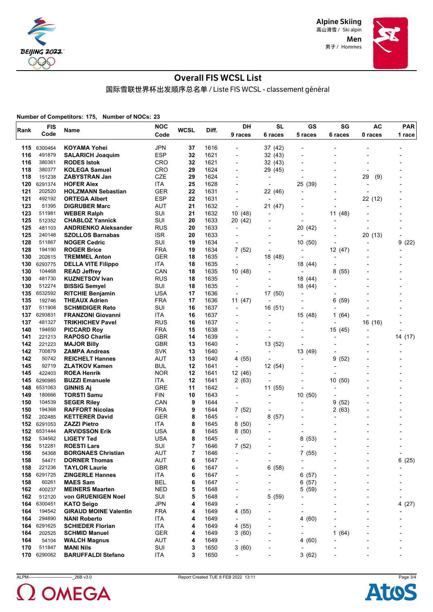

> Men 男子 / Hommes



## Overall FIS WCSL List

国际雪联世界杯出发顺序总名单 / Liste FIS WCSL - classement général

**Number of Competitors: 175, Number of NOCs: 23**

|            | <b>FIS</b>        | <b>Name</b>                                       | <b>NOC</b>               | <b>WCSL</b> |              | DH                       | <b>SL</b>                           | GS                       | SG                       | AC                       | <b>PAR</b>               |
|------------|-------------------|---------------------------------------------------|--------------------------|-------------|--------------|--------------------------|-------------------------------------|--------------------------|--------------------------|--------------------------|--------------------------|
| Rank       | Code              |                                                   | Code                     |             | Diff.        | 9 races                  | 6 races                             | 5 races                  | 6 races                  | 0 races                  | 1 race                   |
| 115        | 6300464           | <b>KOYAMA Yohei</b>                               | <b>JPN</b>               | 37          | 1616         |                          | 37 (42)                             |                          |                          |                          |                          |
| 116        | 491879            | <b>SALARICH Joaquim</b>                           | <b>ESP</b>               | 32          | 1621         |                          | 32 (43)                             |                          |                          |                          |                          |
| 116        | 380361            | <b>RODES Istok</b>                                | <b>CRO</b>               | 32          | 1621         | ٠                        | 32(43)                              |                          |                          |                          |                          |
| 118        | 380377            |                                                   | <b>CRO</b>               | 29          | 1624         |                          |                                     |                          |                          |                          |                          |
| 118        |                   | <b>KOLEGA Samuel</b>                              | CZE                      | 29          | 1624         | $\overline{\phantom{0}}$ | 29 (45)                             |                          |                          | 29                       |                          |
|            | 151238<br>6291374 | <b>ZABYSTRAN Jan</b>                              |                          |             |              |                          |                                     |                          |                          | (9)                      |                          |
| 120<br>121 | 202520            | <b>HOFER Alex</b>                                 | ITA                      | 25<br>22    | 1628         | $\overline{a}$           | $\overline{\phantom{a}}$            | 25 (39)                  |                          | $\overline{\phantom{a}}$ |                          |
| 121        | 492192            | <b>HOLZMANN Sebastian</b><br><b>ORTEGA Albert</b> | <b>GER</b><br><b>ESP</b> | 22          | 1631<br>1631 | ٠<br>$\overline{a}$      | 22 (46)<br>$\overline{\phantom{a}}$ | $\overline{a}$           |                          | $\overline{\phantom{a}}$ |                          |
| 123        |                   |                                                   |                          |             |              |                          |                                     |                          | $\overline{a}$           | 22 (12)                  |                          |
|            | 51395             | <b>DIGRUBER Marc</b>                              | <b>AUT</b>               | 21          | 1632         |                          | 21 (47)                             |                          |                          | $\overline{a}$           |                          |
| 123        | 511981            | <b>WEBER Ralph</b>                                | SUI                      | 21          | 1632         | 10(48)                   | $\overline{\phantom{a}}$            |                          | 11 (48)                  |                          |                          |
| 125        | 512352            | <b>CHABLOZ Yannick</b>                            | SUI                      | 20          | 1633         | 20 (42)                  |                                     | $\blacksquare$           | $\overline{\phantom{a}}$ |                          |                          |
| 125        | 481103            | <b>ANDRIENKO Aleksander</b>                       | <b>RUS</b>               | 20          | 1633         | $\overline{a}$           | $\blacksquare$                      | 20 (42)                  | $\overline{a}$           |                          |                          |
| 125        | 240148            | <b>SZOLLOS Barnabas</b>                           | <b>ISR</b>               | 20          | 1633         | $\overline{\phantom{a}}$ | $\blacksquare$                      | $\overline{\phantom{a}}$ | $\overline{a}$           | 20 (13)                  | $\overline{\phantom{a}}$ |
| 128        | 511867            | <b>NOGER Cedric</b>                               | SUI                      | 19          | 1634         | $\overline{\phantom{a}}$ |                                     | 10(50)                   | $\blacksquare$           | $\overline{\phantom{a}}$ | 9<br>(22)                |
| 128        | 194190            | <b>ROGER Brice</b>                                | <b>FRA</b>               | 19          | 1634         | 7(52)                    |                                     | $\blacksquare$           | 12 (47)                  |                          | $\overline{a}$           |
| 130        | 202615            | <b>TREMMEL Anton</b>                              | <b>GER</b>               | 18          | 1635         | $\overline{\phantom{a}}$ | 18 (48)                             | $\overline{\phantom{a}}$ | $\overline{a}$           |                          |                          |
| 130        | 6293775           | <b>DELLA VITE Filippo</b>                         | <b>ITA</b>               | 18          | 1635         | $\overline{\phantom{a}}$ | $\blacksquare$                      | 18 (44)                  | $\overline{a}$           |                          |                          |
| 130        | 104468            | <b>READ Jeffrey</b>                               | CAN                      | 18          | 1635         | 10 (48)                  |                                     |                          | 8<br>(55)                |                          |                          |
| 130        | 481730            | <b>KUZNETSOV Ivan</b>                             | <b>RUS</b>               | 18          | 1635         | $\overline{\phantom{a}}$ |                                     | 18 (44)                  |                          |                          |                          |
| 130        | 512274            | <b>BISSIG Semvel</b>                              | SUI                      | 18          | 1635         | $\overline{a}$           | $\overline{\phantom{a}}$            | 18 (44)                  |                          |                          |                          |
| 135        | 6532592           | <b>RITCHIE Benjamin</b>                           | <b>USA</b>               | 17          | 1636         | $\overline{a}$           | 17 (50)                             | -                        |                          |                          |                          |
| 135        | 192746            | <b>THEAUX Adrien</b>                              | <b>FRA</b>               | 17          | 1636         | 11(47)                   | $\overline{\phantom{a}}$            | $\overline{\phantom{0}}$ | 6<br>(59)                |                          |                          |
| 137        | 511908            | <b>SCHMIDIGER Reto</b>                            | SUI                      | 16          | 1637         | $\overline{a}$           | 16 (51)                             |                          | $\overline{\phantom{a}}$ |                          |                          |
| 137        | 6293831           | <b>FRANZONI Giovanni</b>                          | ITA                      | 16          | 1637         |                          | $\overline{\phantom{0}}$            | 15 (48)                  | (64)<br>1                |                          |                          |
| 137        | 481327            | <b>TRIKHICHEV Pavel</b>                           | <b>RUS</b>               | 16          | 1637         |                          |                                     | $\blacksquare$           |                          | 16 (16)                  |                          |
| 140        | 194650            | <b>PICCARD Roy</b>                                | <b>FRA</b>               | 15          | 1638         |                          |                                     |                          | 15 (45)                  |                          |                          |
| 141        | 221213            | <b>RAPOSO Charlie</b>                             | <b>GBR</b>               | 14          | 1639         |                          |                                     |                          | -                        |                          | 14 (17)                  |
| 142        | 221223            | <b>MAJOR Billy</b>                                | <b>GBR</b>               | 13          | 1640         | ٠                        | 13 (52)                             |                          |                          |                          |                          |
| 142        | 700879            | <b>ZAMPA Andreas</b>                              | <b>SVK</b>               | 13          | 1640         | $\overline{\phantom{a}}$ | $\overline{\phantom{0}}$            | 13 (49)                  | $\overline{a}$           |                          |                          |
| 142        | 50742             | <b>REICHELT Hannes</b>                            | <b>AUT</b>               | 13          | 1640         | 4 (55)                   |                                     | $\overline{a}$           | 9<br>(52)                |                          |                          |
| 145        | 92719             | <b>ZLATKOV Kamen</b>                              | <b>BUL</b>               | 12          | 1641         | $\overline{\phantom{a}}$ | 12 (54)                             |                          |                          |                          |                          |
| 145        | 422403            | <b>ROEA Henrik</b>                                | <b>NOR</b>               | 12          | 1641         | 12 (46)                  | $\overline{\phantom{0}}$            |                          |                          |                          |                          |
| 145        | 6290985           | <b>BUZZI Emanuele</b>                             | ITA                      | 12          | 1641         | 2 (63)                   |                                     |                          | 10<br>(50)               |                          |                          |
| 148        | 6531063           | <b>GINNIS Aj</b>                                  | <b>GRE</b>               | 11          | 1642         | $\overline{\phantom{a}}$ | 11 (55)                             | $\overline{\phantom{a}}$ | $\overline{a}$           |                          |                          |
| 149        | 180666            | <b>TORSTI Samu</b>                                | FIN                      | 10          | 1643         | $\overline{\phantom{0}}$ | $\blacksquare$                      | 10(50)                   | -                        |                          |                          |
| 150        | 104539            | <b>SEGER Riley</b>                                | CAN                      | 9           | 1644         |                          |                                     | $\overline{\phantom{a}}$ | (52)<br>9                |                          |                          |
| 150        | 194368            | <b>RAFFORT Nicolas</b>                            | <b>FRA</b>               | 9           | 1644         | 7(52)                    | $\overline{\phantom{0}}$            | $\overline{a}$           | 2<br>(63)                |                          |                          |
| 152        | 202485            | <b>KETTERER David</b>                             | <b>GER</b>               | 8           | 1645         | $\overline{\phantom{a}}$ | (57)<br>8                           | $\overline{\phantom{0}}$ | $\overline{a}$           |                          |                          |
| 152        | 6291053           | <b>ZAZZI Pietro</b>                               | ITA                      | 8           | 1645         | 8(50)                    |                                     |                          |                          |                          |                          |
| 152        | 6531444           | <b>ARVIDSSON Erik</b>                             | <b>USA</b>               | 8           | 1645         | 8(50)                    |                                     | $\blacksquare$           |                          |                          |                          |
| 152        | 534562            | <b>LIGETY Ted</b>                                 | USA                      | 8           | 1645         | $\overline{\phantom{a}}$ |                                     | 8<br>(53)                |                          |                          |                          |
| 156        | 512281            | <b>ROESTI Lars</b>                                | SUI                      | 7           | 1646         | 7(52)                    |                                     | $\blacksquare$           | $\overline{a}$           |                          | $\overline{\phantom{0}}$ |
| 156        | 54368             | <b>BORGNAES Christian</b>                         | AUT                      | 7           | 1646         |                          |                                     | 7(55)                    |                          | $\overline{\phantom{a}}$ | $\overline{\phantom{a}}$ |
| 158        | 54471             | <b>DORNER Thomas</b>                              | AUT                      | 6           | 1647         | $\overline{a}$           | $\blacksquare$                      |                          |                          | $\overline{\phantom{a}}$ | 6<br>(25)                |
| 158        | 221236            | <b>TAYLOR Laurie</b>                              | <b>GBR</b>               | 6           | 1647         | $\overline{\phantom{0}}$ | 6(58)                               |                          |                          | $\overline{a}$           |                          |
| 158        | 6291725           | <b>ZINGERLE Hannes</b>                            | ITA                      | 6           | 1647         |                          |                                     | 6(57)                    |                          | $\overline{a}$           |                          |
| 158        | 60261             | <b>MAES Sam</b>                                   | <b>BEL</b>               | 6           | 1647         | -                        |                                     | 6(57)                    |                          | $\overline{a}$           |                          |
| 162        | 400237            | <b>MEINERS Maarten</b>                            | <b>NED</b>               | 5           | 1648         |                          |                                     | 5(59)                    |                          | $\overline{\phantom{0}}$ |                          |
| 162        | 512120            | von GRUENIGEN Noel                                | SUI                      | 5           | 1648         |                          | 5(59)                               |                          |                          |                          | $\overline{\phantom{a}}$ |
| 164        | 6300451           | <b>KATO Seigo</b>                                 | <b>JPN</b>               | 4           | 1649         | $\overline{\phantom{0}}$ |                                     |                          |                          | $\overline{a}$           | 4(27)                    |
| 164        | 194542            | <b>GIRAUD MOINE Valentin</b>                      | <b>FRA</b>               | 4           | 1649         | 4 (55)                   |                                     |                          |                          | $\overline{a}$           |                          |
| 164        | 294890            | <b>NANI Roberto</b>                               | ITA                      | 4           | 1649         | $\overline{\phantom{a}}$ |                                     | (60)<br>4                |                          |                          |                          |
| 164        | 6291625           | <b>SCHIEDER Florian</b>                           | ITA                      | 4           | 1649         | 4 (55)                   |                                     |                          |                          |                          |                          |
| 164        | 202525            | <b>SCHMID Manuel</b>                              | <b>GER</b>               | 4           | 1649         | 3(60)                    |                                     |                          | 1<br>(64)                |                          | $\overline{\phantom{a}}$ |
| 164        | 54104             | <b>WALCH Magnus</b>                               | <b>AUT</b>               | 4           | 1649         | $\overline{\phantom{a}}$ |                                     | 4(60)                    |                          |                          |                          |
| 170        | 511847            | <b>MANI Nils</b>                                  | SUI                      | 3           | 1650         | 3(60)                    |                                     |                          |                          |                          |                          |
| 170        | 6290062           | <b>BARUFFALDI Stefano</b>                         | ITA                      | 3           | 1650         | $\overline{\phantom{a}}$ | $\overline{\phantom{a}}$            | 3(62)                    | -                        | ٠                        | $\overline{\phantom{0}}$ |
|            |                   |                                                   |                          |             |              |                          |                                     |                          |                          |                          |                          |



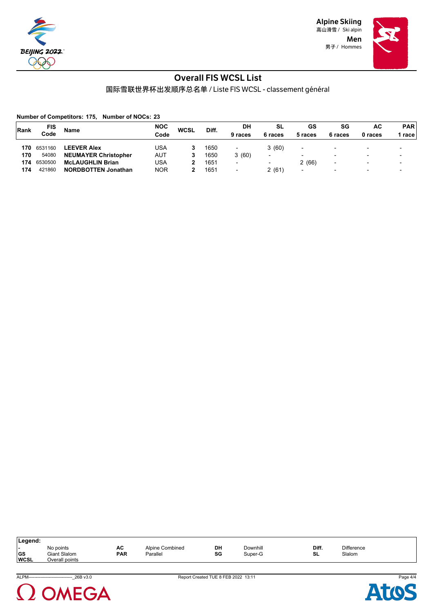

> Men 男子 / Hommes



### Overall FIS WCSL List

国际雪联世界杯出发顺序总名单 / Liste FIS WCSL - classement général

**Number of Competitors: 175, Number of NOCs: 23**

| Rank | FIS     | <b>Name</b>                 | <b>NOC</b> | <b>WCSL</b> | Diff. | DH                       | SL                       | GS                       | SG                       | <b>AC</b>      | <b>PAR</b>               |  |
|------|---------|-----------------------------|------------|-------------|-------|--------------------------|--------------------------|--------------------------|--------------------------|----------------|--------------------------|--|
|      | Code    |                             | Code       |             |       | 9 races                  | 6 races                  | 5 races                  | 6 races                  | 0 races        | race                     |  |
| 170  | 6531160 | <b>LEEVER Alex</b>          | USA        |             | 1650  | -                        | 3(60)                    | $\overline{\phantom{0}}$ | $\blacksquare$           | $\blacksquare$ |                          |  |
| 170  | 54080   | <b>NEUMAYER Christopher</b> | AUT        |             | 1650  | 3(60)                    | -                        | $\overline{\phantom{0}}$ | $\overline{\phantom{0}}$ | $\blacksquare$ |                          |  |
| 174  | 6530500 | <b>McLAUGHLIN Brian</b>     | USA        |             | 1651  | $\overline{\phantom{a}}$ | $\overline{\phantom{0}}$ | 2(66)                    | $\blacksquare$           | $\blacksquare$ | $\overline{\phantom{a}}$ |  |
| 174  | 421860  | <b>NORDBOTTEN Jonathan</b>  | <b>NOR</b> |             | 1651  | $\overline{\phantom{a}}$ | 2(61)                    | $\overline{\phantom{0}}$ | $\overline{\phantom{0}}$ | $\blacksquare$ | $\overline{\phantom{0}}$ |  |

| Legend:                   |                                                    |                  |                             |          |                     |             |                             |  |  |  |  |  |
|---------------------------|----------------------------------------------------|------------------|-----------------------------|----------|---------------------|-------------|-----------------------------|--|--|--|--|--|
| . .<br>∣GS<br><b>WCSL</b> | No points<br><b>Giant Slalom</b><br>Overall points | АC<br><b>PAR</b> | Alpine Combined<br>Parallel | DH<br>SG | Downhill<br>Super-G | Diff.<br>SL | <b>Difference</b><br>Slalom |  |  |  |  |  |

ALPM------------------------------\_26B v3.0 Report Created TUE 8 FEB 2022 13:11 Page 4/4



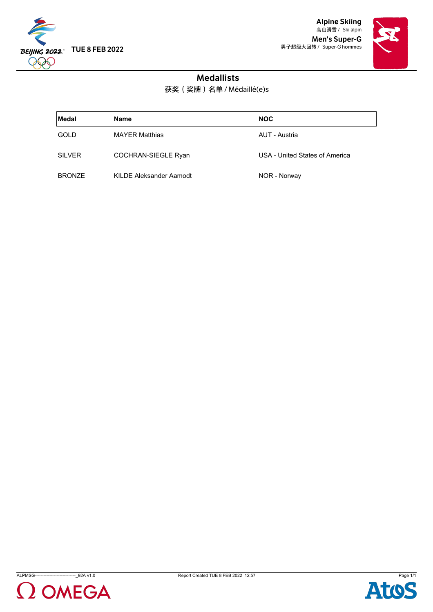

Alpine Skiing 高山滑雪 / Ski alpin Men's Super-G 男子超级大回转 / Super-G hommes



## Medallists

获奖(奖牌)名单 / Médaillé(e)s

| ∣Medal        | <b>Name</b>             | <b>NOC</b>                     |
|---------------|-------------------------|--------------------------------|
| GOLD          | <b>MAYER Matthias</b>   | AUT - Austria                  |
| <b>SILVER</b> | COCHRAN-SIEGLE Ryan     | USA - United States of America |
| <b>BRONZE</b> | KILDE Aleksander Aamodt | NOR - Norway                   |





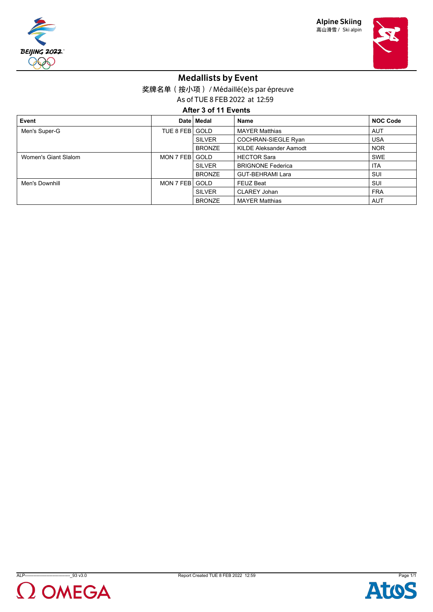





## Medallists by Event

奖牌名单(按小项) / Médaillé(e)s par épreuve

As of TUE 8 FEB 2022 at 12:59

**After 3 of 11 Events**

| Event                |           | Date   Medal  | Name                           | <b>NOC Code</b> |
|----------------------|-----------|---------------|--------------------------------|-----------------|
| Men's Super-G        | TUE 8 FEB | <b>GOLD</b>   | <b>MAYER Matthias</b>          | AUT             |
| <b>SILVER</b>        |           |               | <b>COCHRAN-SIEGLE Ryan</b>     | <b>USA</b>      |
|                      |           | <b>BRONZE</b> | <b>KILDE Aleksander Aamodt</b> | <b>NOR</b>      |
| Women's Giant Slalom | MON 7 FEB | <b>GOLD</b>   | <b>HECTOR Sara</b>             | <b>SWE</b>      |
|                      |           | <b>SILVER</b> | <b>BRIGNONE Federica</b>       | <b>ITA</b>      |
|                      |           | <b>BRONZE</b> | <b>GUT-BEHRAMI Lara</b>        | SUI             |
| Men's Downhill       | MON 7 FEB | <b>GOLD</b>   | <b>FEUZ Beat</b>               | SUI             |
|                      |           | <b>SILVER</b> | <b>CLAREY Johan</b>            | <b>FRA</b>      |
|                      |           | <b>BRONZE</b> | <b>MAYER Matthias</b>          | <b>AUT</b>      |